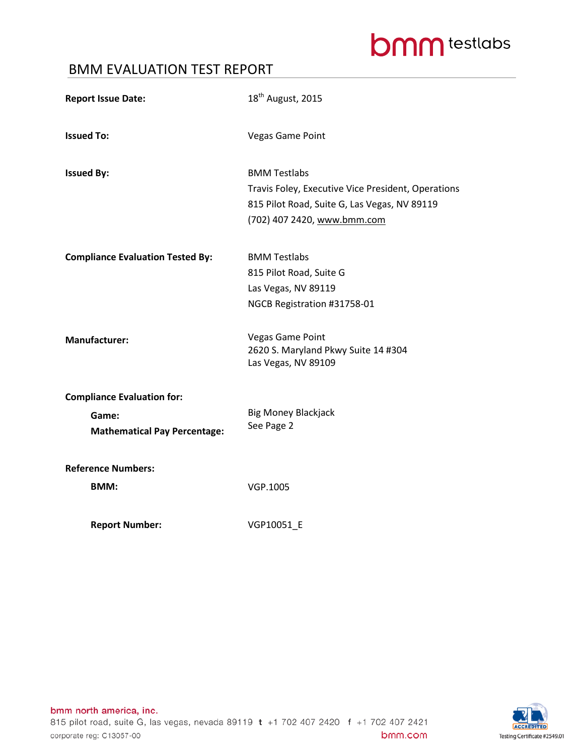# **bmm** testlabs

### BMM EVALUATION TEST REPORT

| <b>Report Issue Date:</b>                    | 18 <sup>th</sup> August, 2015                                                                                                                            |
|----------------------------------------------|----------------------------------------------------------------------------------------------------------------------------------------------------------|
| <b>Issued To:</b>                            | <b>Vegas Game Point</b>                                                                                                                                  |
| <b>Issued By:</b>                            | <b>BMM Testlabs</b><br>Travis Foley, Executive Vice President, Operations<br>815 Pilot Road, Suite G, Las Vegas, NV 89119<br>(702) 407 2420, www.bmm.com |
| <b>Compliance Evaluation Tested By:</b>      | <b>BMM Testlabs</b><br>815 Pilot Road, Suite G<br>Las Vegas, NV 89119<br>NGCB Registration #31758-01                                                     |
| <b>Manufacturer:</b>                         | <b>Vegas Game Point</b><br>2620 S. Maryland Pkwy Suite 14 #304<br>Las Vegas, NV 89109                                                                    |
| <b>Compliance Evaluation for:</b>            |                                                                                                                                                          |
| Game:<br><b>Mathematical Pay Percentage:</b> | <b>Big Money Blackjack</b><br>See Page 2                                                                                                                 |
| <b>Reference Numbers:</b>                    |                                                                                                                                                          |
| <b>BMM:</b>                                  | VGP.1005                                                                                                                                                 |
| <b>Report Number:</b>                        | VGP10051_E                                                                                                                                               |

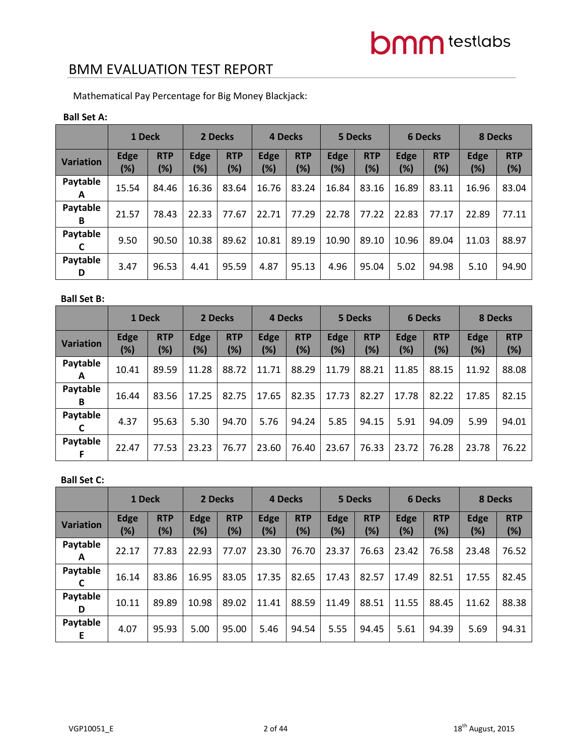Mathematical Pay Percentage for Big Money Blackjack:

#### **Ball Set A:**

|                  | 1 Deck             |                   | 2 Decks               |                   |                    | 4 Decks           |                       | 5 Decks           |                       | <b>6 Decks</b>       | 8 Decks            |                   |
|------------------|--------------------|-------------------|-----------------------|-------------------|--------------------|-------------------|-----------------------|-------------------|-----------------------|----------------------|--------------------|-------------------|
| <b>Variation</b> | <b>Edge</b><br>(%) | <b>RTP</b><br>(%) | <b>Edge</b><br>$(\%)$ | <b>RTP</b><br>(%) | <b>Edge</b><br>(%) | <b>RTP</b><br>(%) | <b>Edge</b><br>$(\%)$ | <b>RTP</b><br>(%) | <b>Edge</b><br>$(\%)$ | <b>RTP</b><br>$(\%)$ | <b>Edge</b><br>(%) | <b>RTP</b><br>(%) |
| Paytable<br>A    | 15.54              | 84.46             | 16.36                 | 83.64             | 16.76              | 83.24             | 16.84                 | 83.16             | 16.89                 | 83.11                | 16.96              | 83.04             |
| Paytable<br>В    | 21.57              | 78.43             | 22.33                 | 77.67             | 22.71              | 77.29             | 22.78                 | 77.22             | 22.83                 | 77.17                | 22.89              | 77.11             |
| Paytable         | 9.50               | 90.50             | 10.38                 | 89.62             | 10.81              | 89.19             | 10.90                 | 89.10             | 10.96                 | 89.04                | 11.03              | 88.97             |
| Paytable<br>D    | 3.47               | 96.53             | 4.41                  | 95.59             | 4.87               | 95.13             | 4.96                  | 95.04             | 5.02                  | 94.98                | 5.10               | 94.90             |

#### **Ball Set B:**

|                  | 1 Deck             |                      | 2 Decks            |                   |                       | 4 Decks              |                    | <b>5 Decks</b>    |             | <b>6 Decks</b>    | 8 Decks            |                   |
|------------------|--------------------|----------------------|--------------------|-------------------|-----------------------|----------------------|--------------------|-------------------|-------------|-------------------|--------------------|-------------------|
| <b>Variation</b> | <b>Edge</b><br>(%) | <b>RTP</b><br>$(\%)$ | <b>Edge</b><br>(%) | <b>RTP</b><br>(%) | <b>Edge</b><br>$(\%)$ | <b>RTP</b><br>$(\%)$ | <b>Edge</b><br>(%) | <b>RTP</b><br>(%) | Edge<br>(%) | <b>RTP</b><br>(%) | <b>Edge</b><br>(%) | <b>RTP</b><br>(%) |
| Paytable<br>A    | 10.41              | 89.59                | 11.28              | 88.72             | 11.71                 | 88.29                | 11.79              | 88.21             | 11.85       | 88.15             | 11.92              | 88.08             |
| Paytable<br>в    | 16.44              | 83.56                | 17.25              | 82.75             | 17.65                 | 82.35                | 17.73              | 82.27             | 17.78       | 82.22             | 17.85              | 82.15             |
| Paytable         | 4.37               | 95.63                | 5.30               | 94.70             | 5.76                  | 94.24                | 5.85               | 94.15             | 5.91        | 94.09             | 5.99               | 94.01             |
| Paytable         | 22.47              | 77.53                | 23.23              | 76.77             | 23.60                 | 76.40                | 23.67              | 76.33             | 23.72       | 76.28             | 23.78              | 76.22             |

#### **Ball Set C:**

|                  | 1 Deck             |                   | 2 Decks     |                   |                       | 4 Decks              |                    | 5 Decks              |             | <b>6 Decks</b>    | <b>8 Decks</b>     |                   |
|------------------|--------------------|-------------------|-------------|-------------------|-----------------------|----------------------|--------------------|----------------------|-------------|-------------------|--------------------|-------------------|
| <b>Variation</b> | <b>Edge</b><br>(%) | <b>RTP</b><br>(%) | Edge<br>(%) | <b>RTP</b><br>(%) | <b>Edge</b><br>$(\%)$ | <b>RTP</b><br>$(\%)$ | <b>Edge</b><br>(%) | <b>RTP</b><br>$(\%)$ | Edge<br>(%) | <b>RTP</b><br>(%) | <b>Edge</b><br>(%) | <b>RTP</b><br>(%) |
| Paytable<br>A    | 22.17              | 77.83             | 22.93       | 77.07             | 23.30                 | 76.70                | 23.37              | 76.63                | 23.42       | 76.58             | 23.48              | 76.52             |
| Paytable         | 16.14              | 83.86             | 16.95       | 83.05             | 17.35                 | 82.65                | 17.43              | 82.57                | 17.49       | 82.51             | 17.55              | 82.45             |
| Paytable<br>D    | 10.11              | 89.89             | 10.98       | 89.02             | 11.41                 | 88.59                | 11.49              | 88.51                | 11.55       | 88.45             | 11.62              | 88.38             |
| Paytable         | 4.07               | 95.93             | 5.00        | 95.00             | 5.46                  | 94.54                | 5.55               | 94.45                | 5.61        | 94.39             | 5.69               | 94.31             |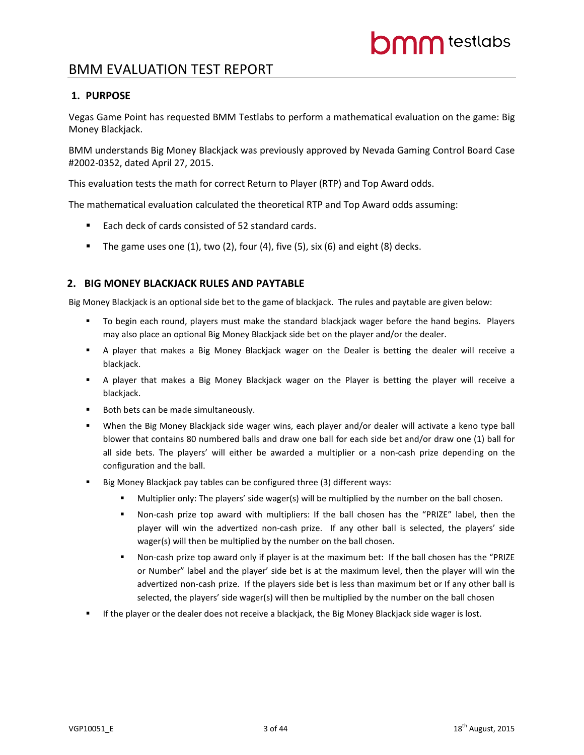#### **1. PURPOSE**

Vegas Game Point has requested BMM Testlabs to perform a mathematical evaluation on the game: Big Money Blackjack.

BMM understands Big Money Blackjack was previously approved by Nevada Gaming Control Board Case #2002-0352, dated April 27, 2015.

This evaluation tests the math for correct Return to Player (RTP) and Top Award odds.

The mathematical evaluation calculated the theoretical RTP and Top Award odds assuming:

- Each deck of cards consisted of 52 standard cards.
- The game uses one  $(1)$ , two  $(2)$ , four  $(4)$ , five  $(5)$ , six  $(6)$  and eight  $(8)$  decks.

#### **2. BIG MONEY BLACKJACK RULES AND PAYTABLE**

Big Money Blackjack is an optional side bet to the game of blackjack. The rules and paytable are given below:

- To begin each round, players must make the standard blackjack wager before the hand begins. Players may also place an optional Big Money Blackjack side bet on the player and/or the dealer.
- A player that makes a Big Money Blackjack wager on the Dealer is betting the dealer will receive a blackjack.
- A player that makes a Big Money Blackjack wager on the Player is betting the player will receive a blackjack.
- Both bets can be made simultaneously.
- When the Big Money Blackjack side wager wins, each player and/or dealer will activate a keno type ball blower that contains 80 numbered balls and draw one ball for each side bet and/or draw one (1) ball for all side bets. The players' will either be awarded a multiplier or a non-cash prize depending on the configuration and the ball.
- Big Money Blackjack pay tables can be configured three (3) different ways:
	- Multiplier only: The players' side wager(s) will be multiplied by the number on the ball chosen.
	- Non-cash prize top award with multipliers: If the ball chosen has the "PRIZE" label, then the player will win the advertized non-cash prize. If any other ball is selected, the players' side wager(s) will then be multiplied by the number on the ball chosen.
	- Non-cash prize top award only if player is at the maximum bet: If the ball chosen has the "PRIZE or Number" label and the player' side bet is at the maximum level, then the player will win the advertized non-cash prize. If the players side bet is less than maximum bet or If any other ball is selected, the players' side wager(s) will then be multiplied by the number on the ball chosen
- **If the player or the dealer does not receive a blackjack, the Big Money Blackjack side wager is lost.**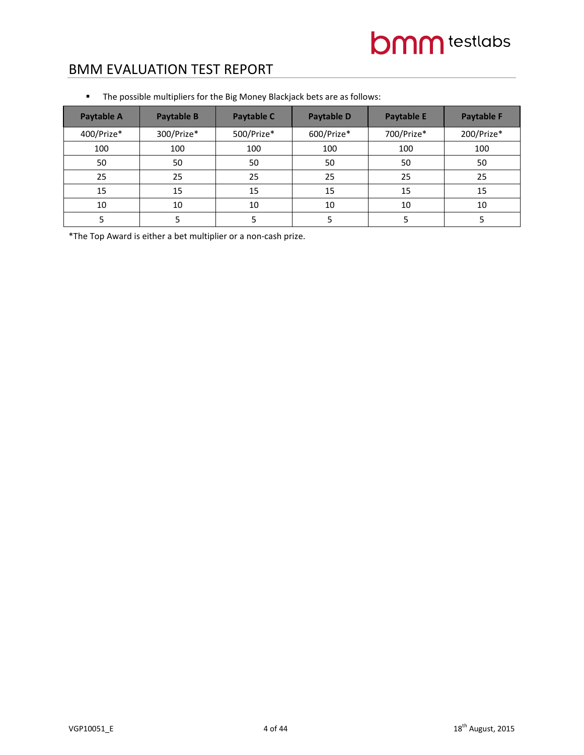| Paytable A | Paytable B | Paytable C | <b>Paytable D</b> | <b>Paytable E</b> | <b>Paytable F</b> |
|------------|------------|------------|-------------------|-------------------|-------------------|
| 400/Prize* | 300/Prize* | 500/Prize* | 600/Prize*        | 700/Prize*        | 200/Prize*        |
| 100        | 100        | 100        | 100               | 100               | 100               |
| 50         | 50         | 50         | 50                | 50                | 50                |
| 25         | 25         | 25         | 25                | 25                | 25                |
| 15         | 15         | 15         | 15                | 15                | 15                |
| 10         | 10         | 10         | 10                | 10                | 10                |
|            | 5          |            |                   |                   |                   |

The possible multipliers for the Big Money Blackjack bets are as follows:

\*The Top Award is either a bet multiplier or a non-cash prize.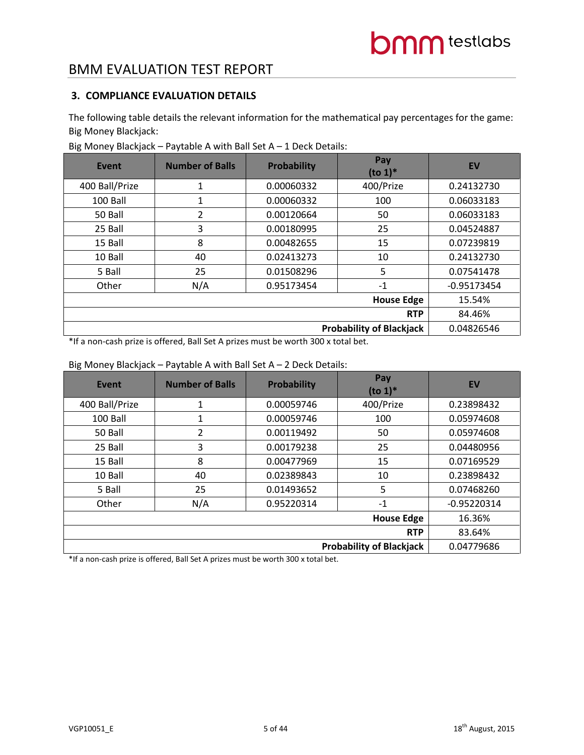### **3. COMPLIANCE EVALUATION DETAILS**

The following table details the relevant information for the mathematical pay percentages for the game: Big Money Blackjack:

| Event          | <b>Number of Balls</b> | <b>Probability</b> | Pay<br>$($ to 1 $)$ <sup>*</sup> | EV            |
|----------------|------------------------|--------------------|----------------------------------|---------------|
| 400 Ball/Prize | 1                      | 0.00060332         | 400/Prize                        | 0.24132730    |
| 100 Ball       | 1                      | 0.00060332         | 100                              | 0.06033183    |
| 50 Ball        | 2                      | 0.00120664         | 50                               | 0.06033183    |
| 25 Ball        | 3                      | 0.00180995         | 25                               | 0.04524887    |
| 15 Ball        | 8                      | 0.00482655         | 15                               | 0.07239819    |
| 10 Ball        | 40                     | 0.02413273         | 10                               | 0.24132730    |
| 5 Ball         | 25                     | 0.01508296         | 5                                | 0.07541478    |
| Other          | N/A                    | 0.95173454         | $-1$                             | $-0.95173454$ |
|                |                        |                    | <b>House Edge</b>                | 15.54%        |
|                | 84.46%                 |                    |                                  |               |
|                |                        |                    | <b>Probability of Blackjack</b>  | 0.04826546    |

Big Money Blackjack – Paytable A with Ball Set A – 1 Deck Details:

\*If a non-cash prize is offered, Ball Set A prizes must be worth 300 x total bet.

#### Big Money Blackjack – Paytable A with Ball Set A – 2 Deck Details:

| Event          | <b>Number of Balls</b>          | <b>Probability</b> | Pay<br>$($ to 1 $)$ <sup>*</sup> | <b>EV</b>     |  |  |  |
|----------------|---------------------------------|--------------------|----------------------------------|---------------|--|--|--|
| 400 Ball/Prize | 1                               | 0.00059746         | 400/Prize                        | 0.23898432    |  |  |  |
| 100 Ball       | 1                               | 0.00059746         | 100                              | 0.05974608    |  |  |  |
| 50 Ball        | 2                               | 0.00119492         | 50                               | 0.05974608    |  |  |  |
| 25 Ball        | 3                               | 0.00179238         | 25                               | 0.04480956    |  |  |  |
| 15 Ball        | 8                               | 0.00477969         | 15                               | 0.07169529    |  |  |  |
| 10 Ball        | 40                              | 0.02389843         | 10                               | 0.23898432    |  |  |  |
| 5 Ball         | 25                              | 0.01493652         | 5                                | 0.07468260    |  |  |  |
| Other          | N/A                             | 0.95220314         | $-1$                             | $-0.95220314$ |  |  |  |
|                |                                 |                    | <b>House Edge</b>                | 16.36%        |  |  |  |
|                | 83.64%                          |                    |                                  |               |  |  |  |
|                | <b>Probability of Blackjack</b> |                    |                                  |               |  |  |  |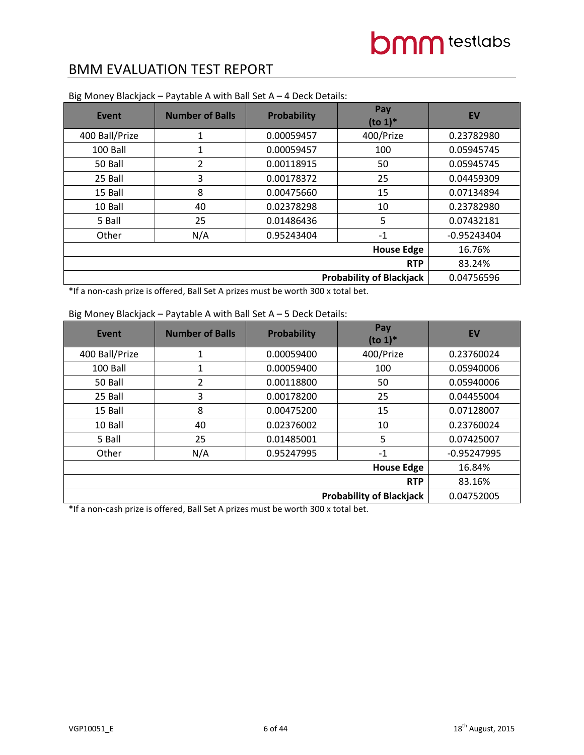| <b>Event</b>   | <b>Number of Balls</b> | <b>Probability</b> | Pay<br>$(to 1)*$  | <b>EV</b>     |
|----------------|------------------------|--------------------|-------------------|---------------|
| 400 Ball/Prize | $\mathbf{1}$           | 0.00059457         | 400/Prize         | 0.23782980    |
| 100 Ball       | 1                      | 0.00059457         | 100               | 0.05945745    |
| 50 Ball        | 2                      | 0.00118915         | 50                | 0.05945745    |
| 25 Ball        | 3                      | 0.00178372         | 25                | 0.04459309    |
| 15 Ball        | 8                      | 0.00475660         | 15                | 0.07134894    |
| 10 Ball        | 40                     | 0.02378298         | 10                | 0.23782980    |
| 5 Ball         | 25                     | 0.01486436         | 5                 | 0.07432181    |
| Other          | N/A                    | 0.95243404         | $-1$              | $-0.95243404$ |
|                |                        |                    | <b>House Edge</b> | 16.76%        |
|                | 83.24%                 |                    |                   |               |
|                | 0.04756596             |                    |                   |               |

Big Money Blackjack – Paytable A with Ball Set A – 4 Deck Details:

\*If a non-cash prize is offered, Ball Set A prizes must be worth 300 x total bet.

#### Big Money Blackjack – Paytable A with Ball Set A – 5 Deck Details:

| Event          | <b>Number of Balls</b>          | <b>Probability</b> | Pay<br>$(to 1)*$  | <b>EV</b>     |  |  |  |
|----------------|---------------------------------|--------------------|-------------------|---------------|--|--|--|
| 400 Ball/Prize | 1                               | 0.00059400         | 400/Prize         | 0.23760024    |  |  |  |
| 100 Ball       | 1                               | 0.00059400         | 100               | 0.05940006    |  |  |  |
| 50 Ball        | 2                               | 0.00118800         | 50                | 0.05940006    |  |  |  |
| 25 Ball        | 3                               | 0.00178200         | 25                | 0.04455004    |  |  |  |
| 15 Ball        | 8                               | 0.00475200         | 15                | 0.07128007    |  |  |  |
| 10 Ball        | 40                              | 0.02376002         | 10                | 0.23760024    |  |  |  |
| 5 Ball         | 25                              | 0.01485001         | 5                 | 0.07425007    |  |  |  |
| Other          | N/A                             | 0.95247995         | $-1$              | $-0.95247995$ |  |  |  |
|                |                                 |                    | <b>House Edge</b> | 16.84%        |  |  |  |
|                | <b>RTP</b>                      |                    |                   |               |  |  |  |
|                | <b>Probability of Blackjack</b> |                    |                   |               |  |  |  |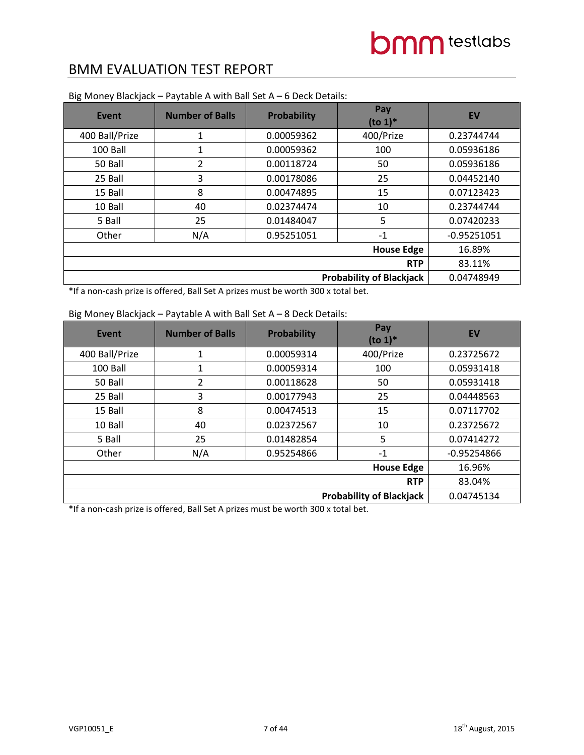| <b>Event</b>   | <b>Number of Balls</b> | <b>Probability</b> | Pay<br>$(to 1)*$  | <b>EV</b>     |
|----------------|------------------------|--------------------|-------------------|---------------|
| 400 Ball/Prize | 1                      | 0.00059362         | 400/Prize         | 0.23744744    |
| 100 Ball       | 1                      | 0.00059362         | 100               | 0.05936186    |
| 50 Ball        | 2                      | 0.00118724         | 50                | 0.05936186    |
| 25 Ball        | 3                      | 0.00178086         | 25                | 0.04452140    |
| 15 Ball        | 8                      | 0.00474895         | 15                | 0.07123423    |
| 10 Ball        | 40                     | 0.02374474         | 10                | 0.23744744    |
| 5 Ball         | 25                     | 0.01484047         | 5                 | 0.07420233    |
| Other          | N/A                    | 0.95251051         | $-1$              | $-0.95251051$ |
|                |                        |                    | <b>House Edge</b> | 16.89%        |
|                | 83.11%                 |                    |                   |               |
|                | 0.04748949             |                    |                   |               |

Big Money Blackjack – Paytable A with Ball Set A – 6 Deck Details:

\*If a non-cash prize is offered, Ball Set A prizes must be worth 300 x total bet.

| Event          | <b>Number of Balls</b>          | Probability | Pay<br>$(to 1)*$ | <b>EV</b>     |  |  |
|----------------|---------------------------------|-------------|------------------|---------------|--|--|
| 400 Ball/Prize | 1                               | 0.00059314  | 400/Prize        | 0.23725672    |  |  |
| 100 Ball       | 1                               | 0.00059314  | 100              | 0.05931418    |  |  |
| 50 Ball        | 2                               | 0.00118628  | 50               | 0.05931418    |  |  |
| 25 Ball        | 3                               | 0.00177943  | 25               | 0.04448563    |  |  |
| 15 Ball        | 8                               | 0.00474513  | 15               | 0.07117702    |  |  |
| 10 Ball        | 40                              | 0.02372567  | 10               | 0.23725672    |  |  |
| 5 Ball         | 25                              | 0.01482854  | 5                | 0.07414272    |  |  |
| Other          | N/A                             | 0.95254866  | $-1$             | $-0.95254866$ |  |  |
|                | <b>House Edge</b>               |             |                  |               |  |  |
|                | <b>RTP</b>                      |             |                  |               |  |  |
|                | <b>Probability of Blackjack</b> |             |                  |               |  |  |

#### Big Money Blackjack – Paytable A with Ball Set A – 8 Deck Details: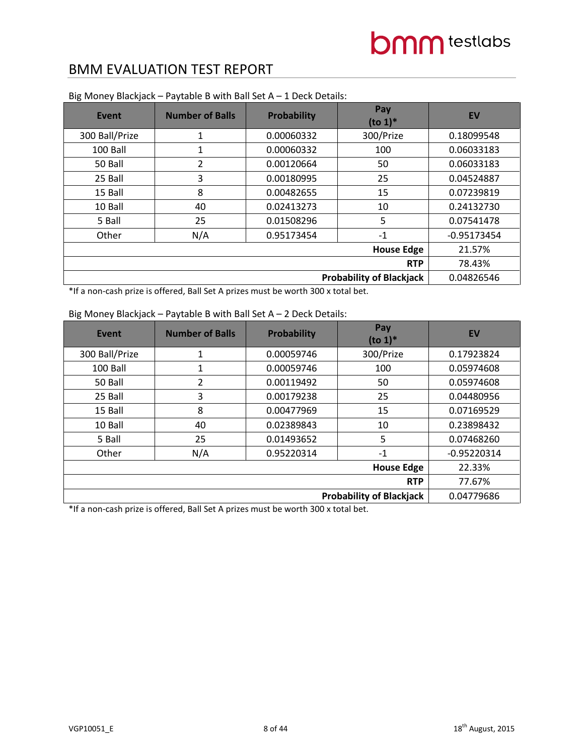| <b>Event</b>   | <b>Number of Balls</b> | <b>Probability</b> | Pay<br>$(to 1)*$ | <b>EV</b>     |  |  |
|----------------|------------------------|--------------------|------------------|---------------|--|--|
| 300 Ball/Prize | 1                      | 0.00060332         | 300/Prize        | 0.18099548    |  |  |
| 100 Ball       | 1                      | 0.00060332         | 100              | 0.06033183    |  |  |
| 50 Ball        | 2                      | 0.00120664         | 50               | 0.06033183    |  |  |
| 25 Ball        | 3                      | 0.00180995         | 25               | 0.04524887    |  |  |
| 15 Ball        | 8                      | 0.00482655         | 15               | 0.07239819    |  |  |
| 10 Ball        | 40                     | 0.02413273         | 10               | 0.24132730    |  |  |
| 5 Ball         | 25                     | 0.01508296         | 5                | 0.07541478    |  |  |
| Other          | N/A                    | 0.95173454         | $-1$             | $-0.95173454$ |  |  |
|                | <b>House Edge</b>      |                    |                  |               |  |  |
|                | <b>RTP</b>             |                    |                  |               |  |  |
|                | 0.04826546             |                    |                  |               |  |  |

Big Money Blackjack – Paytable B with Ball Set A – 1 Deck Details:

\*If a non-cash prize is offered, Ball Set A prizes must be worth 300 x total bet.

|  | Big Money Blackjack – Paytable B with Ball Set $A - 2$ Deck Details: |  |
|--|----------------------------------------------------------------------|--|
|  |                                                                      |  |

| Event          | <b>Number of Balls</b> | <b>Probability</b> | Pay<br>$(to 1)*$                | EV            |
|----------------|------------------------|--------------------|---------------------------------|---------------|
| 300 Ball/Prize | 1                      | 0.00059746         | 300/Prize                       | 0.17923824    |
| 100 Ball       | 1                      | 0.00059746         | 100                             | 0.05974608    |
| 50 Ball        | 2                      | 0.00119492         | 50                              | 0.05974608    |
| 25 Ball        | 3                      | 0.00179238         | 25                              | 0.04480956    |
| 15 Ball        | 8                      | 0.00477969         | 15                              | 0.07169529    |
| 10 Ball        | 40                     | 0.02389843         | 10                              | 0.23898432    |
| 5 Ball         | 25                     | 0.01493652         | 5                               | 0.07468260    |
| Other          | N/A                    | 0.95220314         | $-1$                            | $-0.95220314$ |
|                | 22.33%                 |                    |                                 |               |
| <b>RTP</b>     |                        |                    |                                 | 77.67%        |
|                |                        |                    | <b>Probability of Blackjack</b> | 0.04779686    |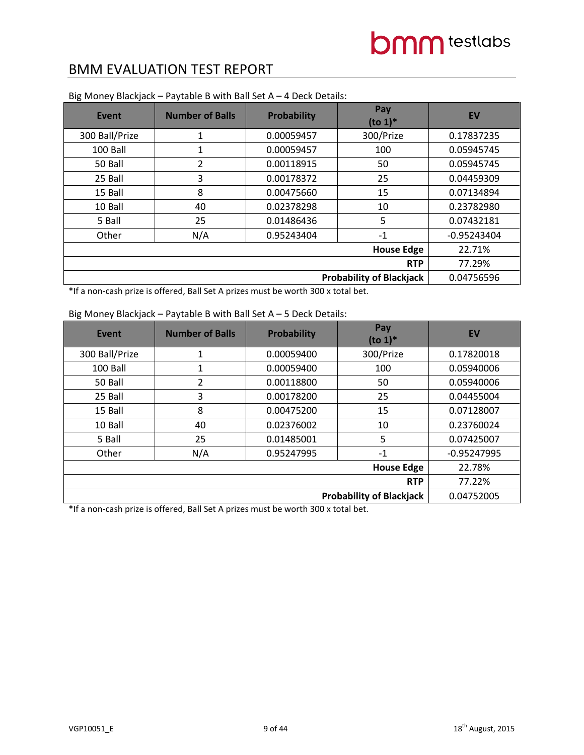| <b>Event</b>   | <b>Number of Balls</b>          | <b>Probability</b> | Pay<br>$(to 1)*$  | <b>EV</b>     |
|----------------|---------------------------------|--------------------|-------------------|---------------|
| 300 Ball/Prize | $\mathbf{1}$                    | 0.00059457         | 300/Prize         | 0.17837235    |
| 100 Ball       | 1                               | 0.00059457         | 100               | 0.05945745    |
| 50 Ball        | 2                               | 0.00118915         | 50                | 0.05945745    |
| 25 Ball        | 3                               | 0.00178372         | 25                | 0.04459309    |
| 15 Ball        | 8                               | 0.00475660         | 15                | 0.07134894    |
| 10 Ball        | 40                              | 0.02378298         | 10                | 0.23782980    |
| 5 Ball         | 25                              | 0.01486436         | 5                 | 0.07432181    |
| Other          | N/A                             | 0.95243404         | $-1$              | $-0.95243404$ |
|                |                                 |                    | <b>House Edge</b> | 22.71%        |
| <b>RTP</b>     |                                 |                    |                   | 77.29%        |
|                | <b>Probability of Blackjack</b> |                    |                   |               |

Big Money Blackjack – Paytable B with Ball Set A – 4 Deck Details:

\*If a non-cash prize is offered, Ball Set A prizes must be worth 300 x total bet.

#### Big Money Blackjack – Paytable B with Ball Set A – 5 Deck Details:

| Event          | <b>Number of Balls</b> | <b>Probability</b> | Pay<br>$($ to 1 $)$ <sup>*</sup> | <b>EV</b>     |
|----------------|------------------------|--------------------|----------------------------------|---------------|
| 300 Ball/Prize | 1                      | 0.00059400         | 300/Prize                        | 0.17820018    |
| 100 Ball       | 1                      | 0.00059400         | 100                              | 0.05940006    |
| 50 Ball        | 2                      | 0.00118800         | 50                               | 0.05940006    |
| 25 Ball        | 3                      | 0.00178200         | 25                               | 0.04455004    |
| 15 Ball        | 8                      | 0.00475200         | 15                               | 0.07128007    |
| 10 Ball        | 40                     | 0.02376002         | 10                               | 0.23760024    |
| 5 Ball         | 25                     | 0.01485001         | 5                                | 0.07425007    |
| Other          | N/A                    | 0.95247995         | $-1$                             | $-0.95247995$ |
|                |                        |                    | <b>House Edge</b>                | 22.78%        |
| <b>RTP</b>     |                        |                    |                                  | 77.22%        |
|                |                        |                    | <b>Probability of Blackjack</b>  | 0.04752005    |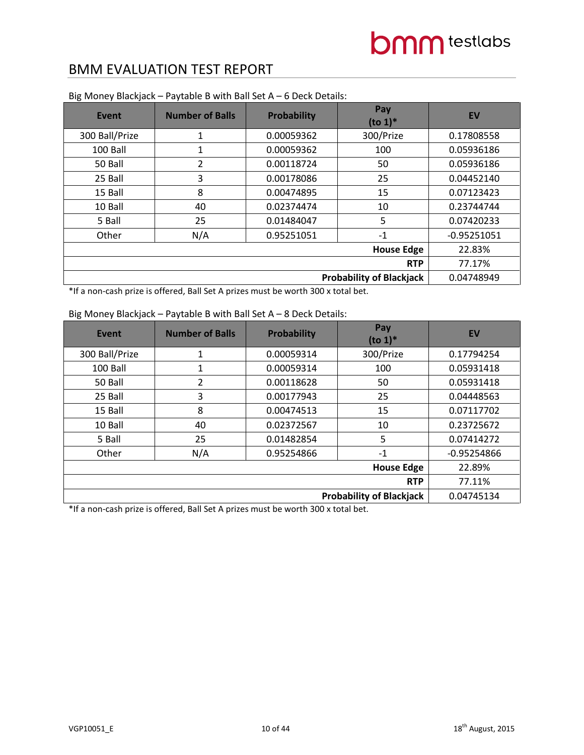| <b>Event</b>   | <b>Number of Balls</b>          | <b>Probability</b> | Pay<br>$(to 1)*$  | <b>EV</b>     |
|----------------|---------------------------------|--------------------|-------------------|---------------|
| 300 Ball/Prize | $\mathbf{1}$                    | 0.00059362         | 300/Prize         | 0.17808558    |
| 100 Ball       | 1                               | 0.00059362         | 100               | 0.05936186    |
| 50 Ball        | 2                               | 0.00118724         | 50                | 0.05936186    |
| 25 Ball        | 3                               | 0.00178086         | 25                | 0.04452140    |
| 15 Ball        | 8                               | 0.00474895         | 15                | 0.07123423    |
| 10 Ball        | 40                              | 0.02374474         | 10                | 0.23744744    |
| 5 Ball         | 25                              | 0.01484047         | 5                 | 0.07420233    |
| Other          | N/A                             | 0.95251051         | $-1$              | $-0.95251051$ |
|                |                                 |                    | <b>House Edge</b> | 22.83%        |
| <b>RTP</b>     |                                 |                    |                   | 77.17%        |
|                | <b>Probability of Blackjack</b> |                    |                   |               |

Big Money Blackjack – Paytable B with Ball Set A – 6 Deck Details:

\*If a non-cash prize is offered, Ball Set A prizes must be worth 300 x total bet.

### **Event Number of Balls Probability Pay**  $(t_0 1)^*$  **EV** 300 Ball/Prize | 1 0.00059314 | 300/Prize | 0.17794254 100 Ball 1 1 100 0.00059314 100 0.05931418 50 Ball 2 0.00118628 50 0.05931418 25 Ball 3 0.00177943 25 0.04448563 15 Ball 8 0.00474513 15 0.07117702 10 Ball 40 0.02372567 10 0.23725672 5 Ball 25 0.01482854 5 0.07414272 Other N/A 0.95254866 -1 -1 0.95254866 **House Edge** 22.89% **RTP** 77.11% **Probability of Blackjack** | 0.04745134

#### Big Money Blackjack – Paytable B with Ball Set A – 8 Deck Details: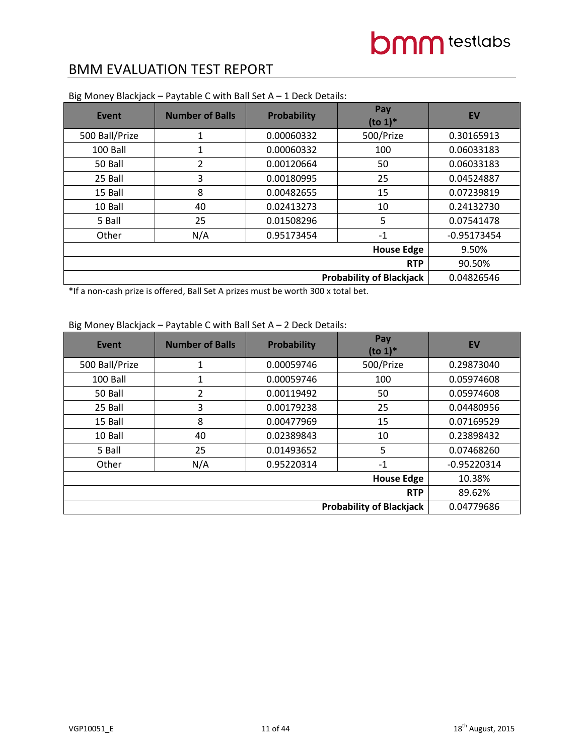| Event          | <b>Number of Balls</b>          | <b>Probability</b> | Pay<br>$(to 1)*$  | <b>EV</b>     |
|----------------|---------------------------------|--------------------|-------------------|---------------|
| 500 Ball/Prize | 1                               | 0.00060332         | 500/Prize         | 0.30165913    |
| 100 Ball       | 1                               | 0.00060332         | 100               | 0.06033183    |
| 50 Ball        | 2                               | 0.00120664         | 50                | 0.06033183    |
| 25 Ball        | 3                               | 0.00180995         | 25                | 0.04524887    |
| 15 Ball        | 8                               | 0.00482655         | 15                | 0.07239819    |
| 10 Ball        | 40                              | 0.02413273         | 10                | 0.24132730    |
| 5 Ball         | 25                              | 0.01508296         | 5                 | 0.07541478    |
| Other          | N/A                             | 0.95173454         | $-1$              | $-0.95173454$ |
|                |                                 |                    | <b>House Edge</b> | 9.50%         |
| <b>RTP</b>     |                                 |                    |                   | 90.50%        |
|                | <b>Probability of Blackjack</b> |                    |                   |               |

Big Money Blackjack – Paytable C with Ball Set A – 1 Deck Details:

\*If a non-cash prize is offered, Ball Set A prizes must be worth 300 x total bet.

### Big Money Blackjack – Paytable C with Ball Set A – 2 Deck Details:

| <b>Event</b>                    | <b>Number of Balls</b> | Probability | Pay<br>$(to 1)*$ | <b>EV</b>     |
|---------------------------------|------------------------|-------------|------------------|---------------|
| 500 Ball/Prize                  | 1                      | 0.00059746  | 500/Prize        | 0.29873040    |
| 100 Ball                        | 1                      | 0.00059746  | 100              | 0.05974608    |
| 50 Ball                         | 2                      | 0.00119492  | 50               | 0.05974608    |
| 25 Ball                         | 3                      | 0.00179238  | 25               | 0.04480956    |
| 15 Ball                         | 8                      | 0.00477969  | 15               | 0.07169529    |
| 10 Ball                         | 40                     | 0.02389843  | 10               | 0.23898432    |
| 5 Ball                          | 25                     | 0.01493652  | 5                | 0.07468260    |
| Other                           | N/A                    | 0.95220314  | $-1$             | $-0.95220314$ |
|                                 | 10.38%                 |             |                  |               |
| <b>RTP</b>                      |                        |             |                  | 89.62%        |
| <b>Probability of Blackjack</b> |                        |             |                  | 0.04779686    |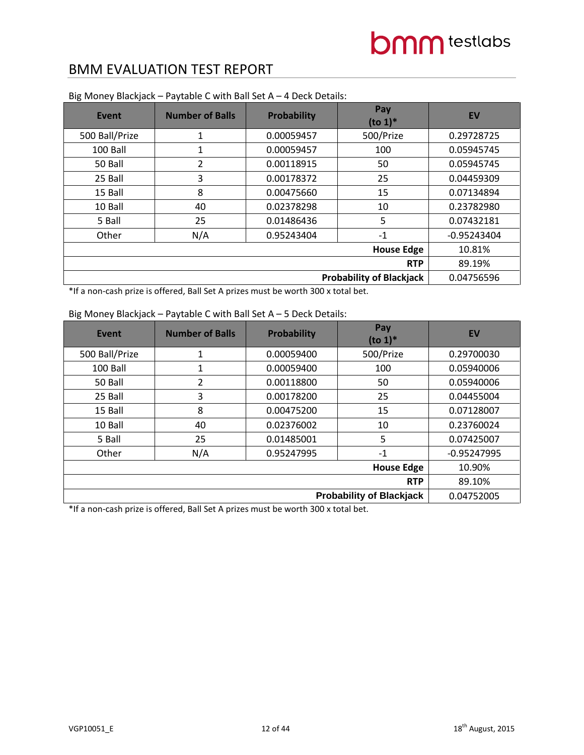| <b>Event</b>   | <b>Number of Balls</b>          | <b>Probability</b> | Pay<br>$(to 1)*$  | <b>EV</b>     |
|----------------|---------------------------------|--------------------|-------------------|---------------|
| 500 Ball/Prize | $\mathbf{1}$                    | 0.00059457         | 500/Prize         | 0.29728725    |
| 100 Ball       | 1                               | 0.00059457         | 100               | 0.05945745    |
| 50 Ball        | 2                               | 0.00118915         | 50                | 0.05945745    |
| 25 Ball        | 3                               | 0.00178372         | 25                | 0.04459309    |
| 15 Ball        | 8                               | 0.00475660         | 15                | 0.07134894    |
| 10 Ball        | 40                              | 0.02378298         | 10                | 0.23782980    |
| 5 Ball         | 25                              | 0.01486436         | 5                 | 0.07432181    |
| Other          | N/A                             | 0.95243404         | $-1$              | $-0.95243404$ |
|                |                                 |                    | <b>House Edge</b> | 10.81%        |
| <b>RTP</b>     |                                 |                    |                   | 89.19%        |
|                | <b>Probability of Blackjack</b> |                    |                   |               |

Big Money Blackjack – Paytable C with Ball Set A – 4 Deck Details:

\*If a non-cash prize is offered, Ball Set A prizes must be worth 300 x total bet.

#### Big Money Blackjack – Paytable C with Ball Set A – 5 Deck Details:

| Event          | <b>Number of Balls</b> | <b>Probability</b> | Pay<br>$($ to 1 $)$ <sup>*</sup> | <b>EV</b>     |
|----------------|------------------------|--------------------|----------------------------------|---------------|
| 500 Ball/Prize | 1                      | 0.00059400         | 500/Prize                        | 0.29700030    |
| 100 Ball       | 1                      | 0.00059400         | 100                              | 0.05940006    |
| 50 Ball        | 2                      | 0.00118800         | 50                               | 0.05940006    |
| 25 Ball        | 3                      | 0.00178200         | 25                               | 0.04455004    |
| 15 Ball        | 8                      | 0.00475200         | 15                               | 0.07128007    |
| 10 Ball        | 40                     | 0.02376002         | 10                               | 0.23760024    |
| 5 Ball         | 25                     | 0.01485001         | 5                                | 0.07425007    |
| Other          | N/A                    | 0.95247995         | $-1$                             | $-0.95247995$ |
|                |                        |                    | <b>House Edge</b>                | 10.90%        |
|                | 89.10%                 |                    |                                  |               |
|                |                        |                    | <b>Probability of Blackjack</b>  | 0.04752005    |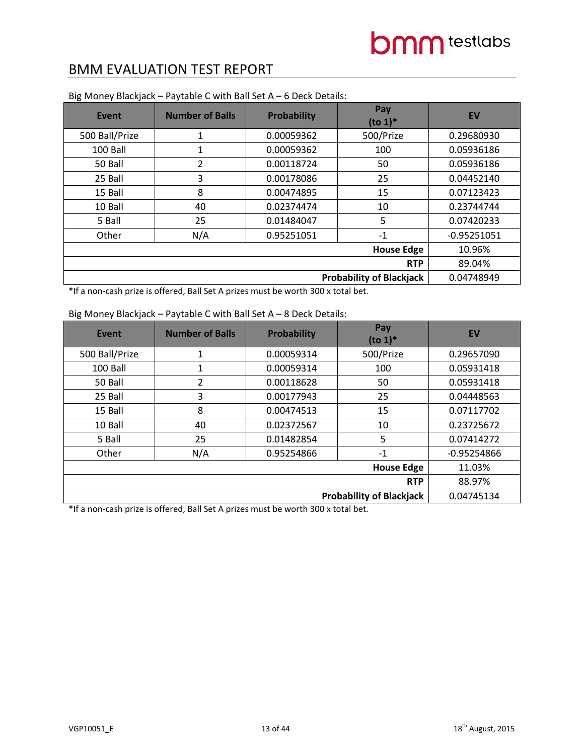| <b>Event</b>   | <b>Number of Balls</b>          | <b>Probability</b> | Pay<br>$(to 1)*$  | <b>EV</b>     |
|----------------|---------------------------------|--------------------|-------------------|---------------|
| 500 Ball/Prize | $\mathbf{1}$                    | 0.00059362         | 500/Prize         | 0.29680930    |
| 100 Ball       | 1                               | 0.00059362         | 100               | 0.05936186    |
| 50 Ball        | 2                               | 0.00118724         | 50                | 0.05936186    |
| 25 Ball        | 3                               | 0.00178086         | 25                | 0.04452140    |
| 15 Ball        | 8                               | 0.00474895         | 15                | 0.07123423    |
| 10 Ball        | 40                              | 0.02374474         | 10                | 0.23744744    |
| 5 Ball         | 25                              | 0.01484047         | 5                 | 0.07420233    |
| Other          | N/A                             | 0.95251051         | $-1$              | $-0.95251051$ |
|                |                                 |                    | <b>House Edge</b> | 10.96%        |
| <b>RTP</b>     |                                 |                    |                   | 89.04%        |
|                | <b>Probability of Blackjack</b> |                    |                   |               |

Big Money Blackjack – Paytable C with Ball Set A – 6 Deck Details:

\*If a non-cash prize is offered, Ball Set A prizes must be worth 300 x total bet.

| Event          | <b>Number of Balls</b>          | <b>Probability</b> | Pay<br>$(to 1)*$ | <b>EV</b>     |
|----------------|---------------------------------|--------------------|------------------|---------------|
| 500 Ball/Prize | 1                               | 0.00059314         | 500/Prize        | 0.29657090    |
| 100 Ball       | 1                               | 0.00059314         | 100              | 0.05931418    |
| 50 Ball        | 2                               | 0.00118628         | 50               | 0.05931418    |
| 25 Ball        | 3                               | 0.00177943         | 25               | 0.04448563    |
| 15 Ball        | 8                               | 0.00474513         | 15               | 0.07117702    |
| 10 Ball        | 40                              | 0.02372567         | 10               | 0.23725672    |
| 5 Ball         | 25                              | 0.01482854         | 5                | 0.07414272    |
| Other          | N/A                             | 0.95254866         | $-1$             | $-0.95254866$ |
|                | 11.03%                          |                    |                  |               |
| <b>RTP</b>     |                                 |                    |                  | 88.97%        |
|                | <b>Probability of Blackjack</b> |                    |                  |               |

#### Big Money Blackjack – Paytable C with Ball Set A – 8 Deck Details: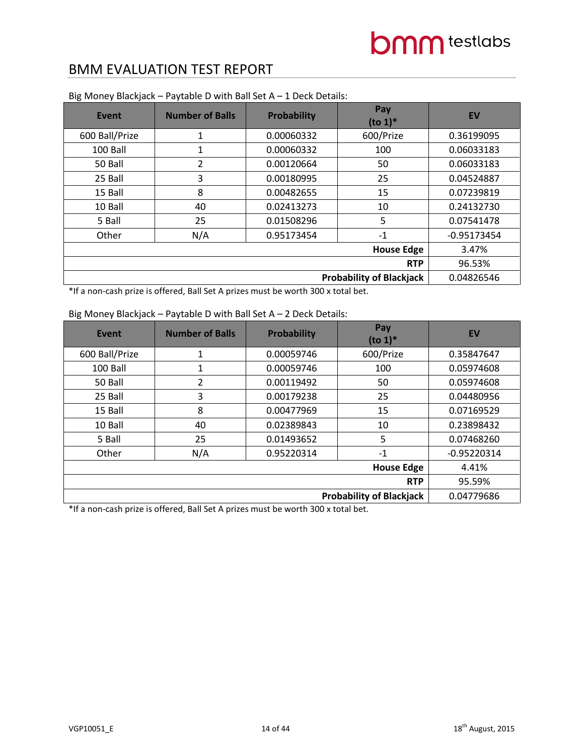| <b>Event</b>   | <b>Number of Balls</b>          | <b>Probability</b> | Pay<br>$(to 1)*$  | <b>EV</b>     |
|----------------|---------------------------------|--------------------|-------------------|---------------|
| 600 Ball/Prize | 1                               | 0.00060332         | 600/Prize         | 0.36199095    |
| 100 Ball       | 1                               | 0.00060332         | 100               | 0.06033183    |
| 50 Ball        | 2                               | 0.00120664         | 50                | 0.06033183    |
| 25 Ball        | 3                               | 0.00180995         | 25                | 0.04524887    |
| 15 Ball        | 8                               | 0.00482655         | 15                | 0.07239819    |
| 10 Ball        | 40                              | 0.02413273         | 10                | 0.24132730    |
| 5 Ball         | 25                              | 0.01508296         | 5                 | 0.07541478    |
| Other          | N/A                             | 0.95173454         | $-1$              | $-0.95173454$ |
|                |                                 |                    | <b>House Edge</b> | 3.47%         |
| <b>RTP</b>     |                                 |                    |                   | 96.53%        |
|                | <b>Probability of Blackjack</b> |                    |                   |               |

Big Money Blackjack – Paytable D with Ball Set A – 1 Deck Details:

\*If a non-cash prize is offered, Ball Set A prizes must be worth 300 x total bet.

| Event          | <b>Number of Balls</b> | <b>Probability</b> | Pay<br>$(to 1)*$ | EV            |
|----------------|------------------------|--------------------|------------------|---------------|
| 600 Ball/Prize | 1                      | 0.00059746         | 600/Prize        | 0.35847647    |
| 100 Ball       | 1                      | 0.00059746         | 100              | 0.05974608    |
| 50 Ball        | 2                      | 0.00119492         | 50               | 0.05974608    |
| 25 Ball        | 3                      | 0.00179238         | 25               | 0.04480956    |
| 15 Ball        | 8                      | 0.00477969         | 15               | 0.07169529    |
| 10 Ball        | 40                     | 0.02389843         | 10               | 0.23898432    |
| 5 Ball         | 25                     | 0.01493652         | 5                | 0.07468260    |
| Other          | N/A                    | 0.95220314         | $-1$             | $-0.95220314$ |
|                | 4.41%                  |                    |                  |               |
|                | 95.59%                 |                    |                  |               |
|                | 0.04779686             |                    |                  |               |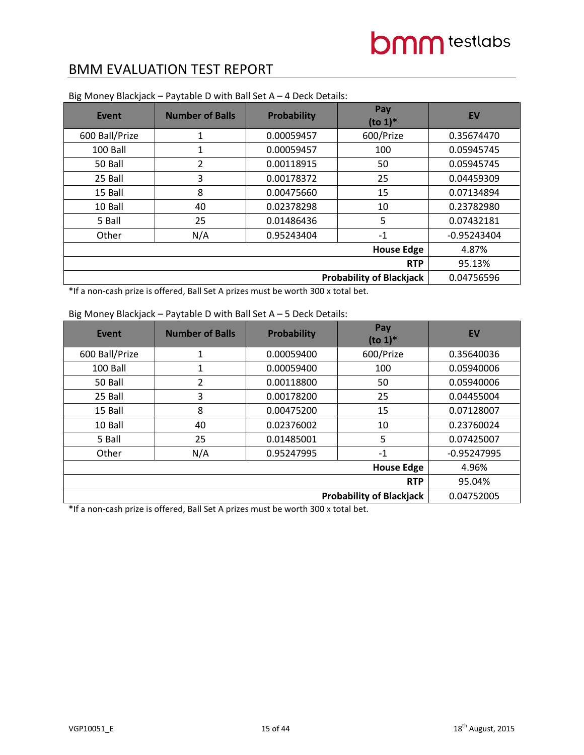| <b>Event</b>                    | <b>Number of Balls</b> | <b>Probability</b> | Pay<br>$(to 1)*$ | <b>EV</b>     |
|---------------------------------|------------------------|--------------------|------------------|---------------|
| 600 Ball/Prize                  | 1                      | 0.00059457         | 600/Prize        | 0.35674470    |
| 100 Ball                        | 1                      | 0.00059457         | 100              | 0.05945745    |
| 50 Ball                         | 2                      | 0.00118915         | 50               | 0.05945745    |
| 25 Ball                         | 3                      | 0.00178372         | 25               | 0.04459309    |
| 15 Ball                         | 8                      | 0.00475660         | 15               | 0.07134894    |
| 10 Ball                         | 40                     | 0.02378298         | 10               | 0.23782980    |
| 5 Ball                          | 25                     | 0.01486436         | 5                | 0.07432181    |
| Other                           | N/A                    | 0.95243404         | $-1$             | $-0.95243404$ |
|                                 | 4.87%                  |                    |                  |               |
|                                 | 95.13%                 |                    |                  |               |
| <b>Probability of Blackjack</b> |                        |                    |                  | 0.04756596    |

Big Money Blackjack – Paytable D with Ball Set A – 4 Deck Details:

\*If a non-cash prize is offered, Ball Set A prizes must be worth 300 x total bet.

### Big Money Blackjack – Paytable D with Ball Set A – 5 Deck Details:

| <b>Event</b>                    | <b>Number of Balls</b> | <b>Probability</b> | Pay<br>$($ to 1 $)$ <sup>*</sup> | <b>EV</b>     |
|---------------------------------|------------------------|--------------------|----------------------------------|---------------|
| 600 Ball/Prize                  | 1                      | 0.00059400         | 600/Prize                        | 0.35640036    |
| 100 Ball                        | 1                      | 0.00059400         | 100                              | 0.05940006    |
| 50 Ball                         | 2                      | 0.00118800         | 50                               | 0.05940006    |
| 25 Ball                         | 3                      | 0.00178200         | 25                               | 0.04455004    |
| 15 Ball                         | 8                      | 0.00475200         | 15                               | 0.07128007    |
| 10 Ball                         | 40                     | 0.02376002         | 10                               | 0.23760024    |
| 5 Ball                          | 25                     | 0.01485001         | 5                                | 0.07425007    |
| Other                           | N/A                    | 0.95247995         | $-1$                             | $-0.95247995$ |
|                                 | 4.96%                  |                    |                                  |               |
|                                 | 95.04%                 |                    |                                  |               |
| <b>Probability of Blackjack</b> |                        |                    |                                  | 0.04752005    |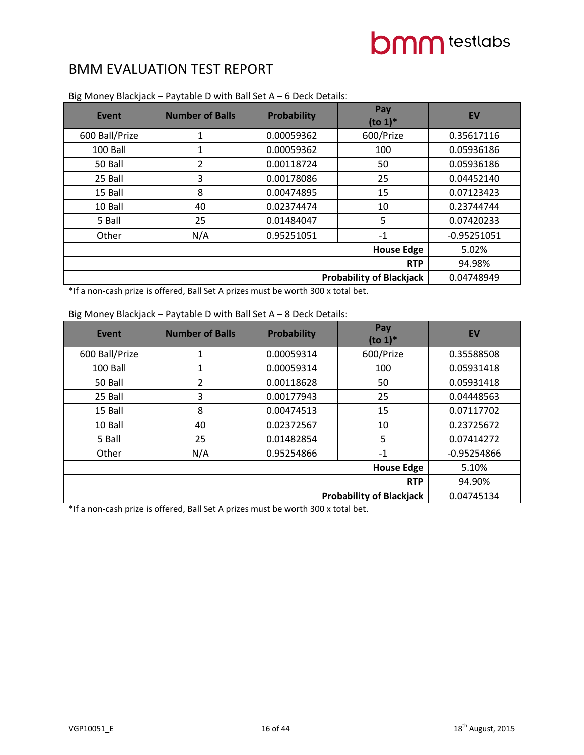| <b>Event</b>                    | <b>Number of Balls</b> | Probability | Pay<br>$($ to 1 $)$ <sup>*</sup> | <b>EV</b>     |
|---------------------------------|------------------------|-------------|----------------------------------|---------------|
| 600 Ball/Prize                  | 1                      | 0.00059362  | 600/Prize                        | 0.35617116    |
| 100 Ball                        | 1                      | 0.00059362  | 100                              | 0.05936186    |
| 50 Ball                         | 2                      | 0.00118724  | 50                               | 0.05936186    |
| 25 Ball                         | 3                      | 0.00178086  | 25                               | 0.04452140    |
| 15 Ball                         | 8                      | 0.00474895  | 15                               | 0.07123423    |
| 10 Ball                         | 40                     | 0.02374474  | 10                               | 0.23744744    |
| 5 Ball                          | 25                     | 0.01484047  | 5                                | 0.07420233    |
| Other                           | N/A                    | 0.95251051  | $-1$                             | $-0.95251051$ |
|                                 | 5.02%                  |             |                                  |               |
|                                 | 94.98%                 |             |                                  |               |
| <b>Probability of Blackjack</b> |                        |             |                                  | 0.04748949    |

#### Big Money Blackjack – Paytable D with Ball Set A – 6 Deck Details:

\*If a non-cash prize is offered, Ball Set A prizes must be worth 300 x total bet.

#### Big Money Blackjack – Paytable D with Ball Set A – 8 Deck Details:

| Event          | <b>Number of Balls</b> | <b>Probability</b> | Pay<br>$(to 1)*$ | <b>EV</b>     |
|----------------|------------------------|--------------------|------------------|---------------|
| 600 Ball/Prize | 1                      | 0.00059314         | 600/Prize        | 0.35588508    |
| 100 Ball       | 1                      | 0.00059314         | 100              | 0.05931418    |
| 50 Ball        | 2                      | 0.00118628         | 50               | 0.05931418    |
| 25 Ball        | 3                      | 0.00177943         | 25               | 0.04448563    |
| 15 Ball        | 8                      | 0.00474513         | 15               | 0.07117702    |
| 10 Ball        | 40                     | 0.02372567         | 10               | 0.23725672    |
| 5 Ball         | 25                     | 0.01482854         | 5                | 0.07414272    |
| Other          | N/A                    | 0.95254866         | $-1$             | $-0.95254866$ |
|                | 5.10%                  |                    |                  |               |
|                | 94.90%                 |                    |                  |               |
|                | 0.04745134             |                    |                  |               |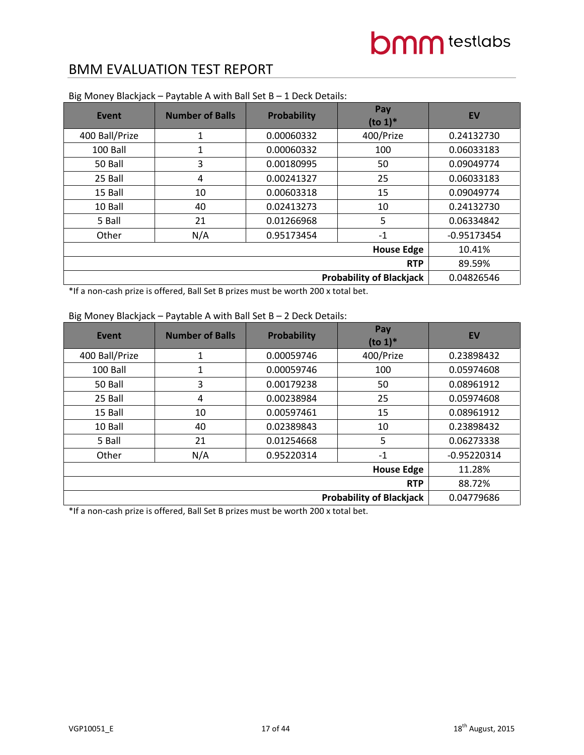| Event                           | <b>Number of Balls</b> | <b>Probability</b> | Pay<br>$(to 1)*$ | <b>EV</b>     |
|---------------------------------|------------------------|--------------------|------------------|---------------|
| 400 Ball/Prize                  | 1                      | 0.00060332         | 400/Prize        | 0.24132730    |
| 100 Ball                        | 1                      | 0.00060332         | 100              | 0.06033183    |
| 50 Ball                         | 3                      | 0.00180995         | 50               | 0.09049774    |
| 25 Ball                         | 4                      | 0.00241327         | 25               | 0.06033183    |
| 15 Ball                         | 10                     | 0.00603318         | 15               | 0.09049774    |
| 10 Ball                         | 40                     | 0.02413273         | 10               | 0.24132730    |
| 5 Ball                          | 21                     | 0.01266968         | 5                | 0.06334842    |
| Other                           | N/A                    | 0.95173454         | $-1$             | $-0.95173454$ |
|                                 | 10.41%                 |                    |                  |               |
|                                 | 89.59%                 |                    |                  |               |
| <b>Probability of Blackjack</b> |                        |                    |                  | 0.04826546    |

Big Money Blackjack – Paytable A with Ball Set B – 1 Deck Details:

\*If a non-cash prize is offered, Ball Set B prizes must be worth 200 x total bet.

### Big Money Blackjack – Paytable A with Ball Set B – 2 Deck Details:

| Event          | <b>Number of Balls</b> | <b>Probability</b> | Pay<br>$(to 1)*$ | <b>EV</b>     |
|----------------|------------------------|--------------------|------------------|---------------|
| 400 Ball/Prize | 1                      | 0.00059746         | 400/Prize        | 0.23898432    |
| 100 Ball       | 1                      | 0.00059746         | 100              | 0.05974608    |
| 50 Ball        | 3                      | 0.00179238         | 50               | 0.08961912    |
| 25 Ball        | 4                      | 0.00238984         | 25               | 0.05974608    |
| 15 Ball        | 10                     | 0.00597461         | 15               | 0.08961912    |
| 10 Ball        | 40                     | 0.02389843         | 10               | 0.23898432    |
| 5 Ball         | 21                     | 0.01254668         | 5                | 0.06273338    |
| Other          | N/A                    | 0.95220314         | $-1$             | $-0.95220314$ |
|                | 11.28%                 |                    |                  |               |
|                | 88.72%                 |                    |                  |               |
|                | 0.04779686             |                    |                  |               |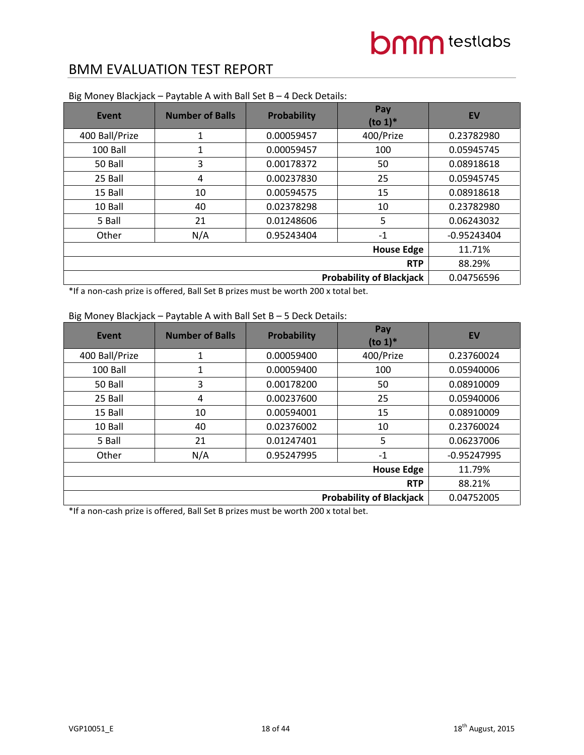| Event                           | <b>Number of Balls</b> | <b>Probability</b> | Pay<br>$(to 1)*$ | <b>EV</b>     |
|---------------------------------|------------------------|--------------------|------------------|---------------|
| 400 Ball/Prize                  | 1                      | 0.00059457         | 400/Prize        | 0.23782980    |
| 100 Ball                        | 1                      | 0.00059457         | 100              | 0.05945745    |
| 50 Ball                         | 3                      | 0.00178372         | 50               | 0.08918618    |
| 25 Ball                         | 4                      | 0.00237830         | 25               | 0.05945745    |
| 15 Ball                         | 10                     | 0.00594575         | 15               | 0.08918618    |
| 10 Ball                         | 40                     | 0.02378298         | 10               | 0.23782980    |
| 5 Ball                          | 21                     | 0.01248606         | 5                | 0.06243032    |
| Other                           | N/A                    | 0.95243404         | $-1$             | $-0.95243404$ |
|                                 | 11.71%                 |                    |                  |               |
|                                 | 88.29%                 |                    |                  |               |
| <b>Probability of Blackjack</b> |                        |                    |                  | 0.04756596    |

Big Money Blackjack – Paytable A with Ball Set B – 4 Deck Details:

\*If a non-cash prize is offered, Ball Set B prizes must be worth 200 x total bet.

### Big Money Blackjack – Paytable A with Ball Set B – 5 Deck Details:

| Event          | <b>Number of Balls</b> | <b>Probability</b> | Pay<br>$(to 1)*$ | <b>EV</b>     |
|----------------|------------------------|--------------------|------------------|---------------|
| 400 Ball/Prize | 1                      | 0.00059400         | 400/Prize        | 0.23760024    |
| 100 Ball       | 1                      | 0.00059400         | 100              | 0.05940006    |
| 50 Ball        | 3                      | 0.00178200         | 50               | 0.08910009    |
| 25 Ball        | 4                      | 0.00237600         | 25               | 0.05940006    |
| 15 Ball        | 10                     | 0.00594001         | 15               | 0.08910009    |
| 10 Ball        | 40                     | 0.02376002         | 10               | 0.23760024    |
| 5 Ball         | 21                     | 0.01247401         | 5                | 0.06237006    |
| Other          | N/A                    | 0.95247995         | $-1$             | $-0.95247995$ |
|                | 11.79%                 |                    |                  |               |
|                | 88.21%                 |                    |                  |               |
|                | 0.04752005             |                    |                  |               |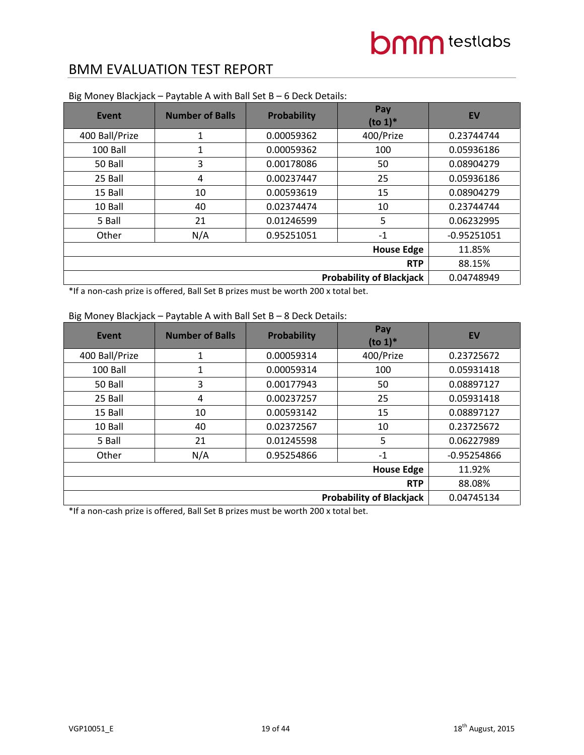| Event          | <b>Number of Balls</b> | <b>Probability</b> | Pay<br>$(to 1)*$                | <b>EV</b>     |
|----------------|------------------------|--------------------|---------------------------------|---------------|
| 400 Ball/Prize | 1                      | 0.00059362         | 400/Prize                       | 0.23744744    |
| 100 Ball       | 1                      | 0.00059362         | 100                             | 0.05936186    |
| 50 Ball        | 3                      | 0.00178086         | 50                              | 0.08904279    |
| 25 Ball        | 4                      | 0.00237447         | 25                              | 0.05936186    |
| 15 Ball        | 10                     | 0.00593619         | 15                              | 0.08904279    |
| 10 Ball        | 40                     | 0.02374474         | 10                              | 0.23744744    |
| 5 Ball         | 21                     | 0.01246599         | 5                               | 0.06232995    |
| Other          | N/A                    | 0.95251051         | $-1$                            | $-0.95251051$ |
|                | 11.85%                 |                    |                                 |               |
|                | 88.15%                 |                    |                                 |               |
|                |                        |                    | <b>Probability of Blackjack</b> | 0.04748949    |

Big Money Blackjack – Paytable A with Ball Set B – 6 Deck Details:

\*If a non-cash prize is offered, Ball Set B prizes must be worth 200 x total bet.

### Big Money Blackjack – Paytable A with Ball Set B – 8 Deck Details:

| Event                           | <b>Number of Balls</b> | <b>Probability</b> | Pay<br>$($ to 1 $)$ <sup>*</sup> | <b>EV</b>     |
|---------------------------------|------------------------|--------------------|----------------------------------|---------------|
| 400 Ball/Prize                  | 1                      | 0.00059314         | 400/Prize                        | 0.23725672    |
| 100 Ball                        | 1                      | 0.00059314         | 100                              | 0.05931418    |
| 50 Ball                         | 3                      | 0.00177943         | 50                               | 0.08897127    |
| 25 Ball                         | 4                      | 0.00237257         | 25                               | 0.05931418    |
| 15 Ball                         | 10                     | 0.00593142         | 15                               | 0.08897127    |
| 10 Ball                         | 40                     | 0.02372567         | 10                               | 0.23725672    |
| 5 Ball                          | 21                     | 0.01245598         | 5                                | 0.06227989    |
| Other                           | N/A                    | 0.95254866         | $-1$                             | $-0.95254866$ |
|                                 | 11.92%                 |                    |                                  |               |
|                                 | 88.08%                 |                    |                                  |               |
| <b>Probability of Blackjack</b> |                        |                    |                                  | 0.04745134    |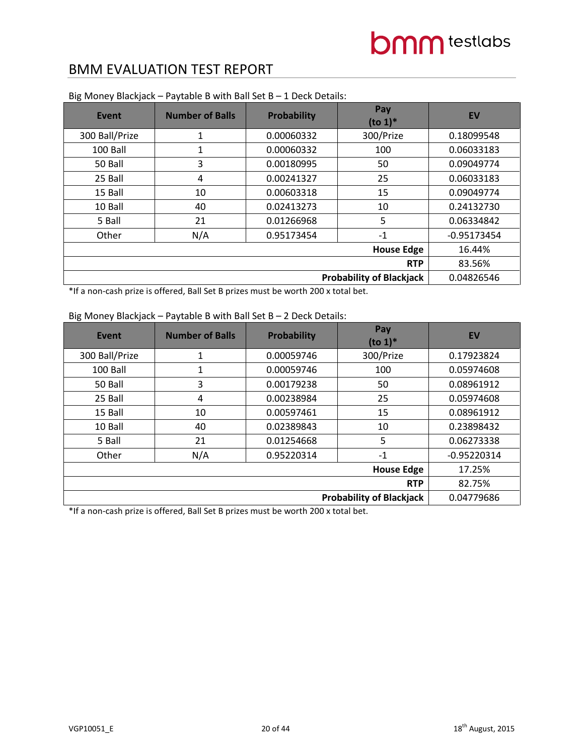| Event                           | <b>Number of Balls</b> | <b>Probability</b> | Pay<br>$(to 1)*$ | <b>EV</b>     |
|---------------------------------|------------------------|--------------------|------------------|---------------|
| 300 Ball/Prize                  | 1                      | 0.00060332         | 300/Prize        | 0.18099548    |
| 100 Ball                        | 1                      | 0.00060332         | 100              | 0.06033183    |
| 50 Ball                         | 3                      | 0.00180995         | 50               | 0.09049774    |
| 25 Ball                         | 4                      | 0.00241327         | 25               | 0.06033183    |
| 15 Ball                         | 10                     | 0.00603318         | 15               | 0.09049774    |
| 10 Ball                         | 40                     | 0.02413273         | 10               | 0.24132730    |
| 5 Ball                          | 21                     | 0.01266968         | 5                | 0.06334842    |
| Other                           | N/A                    | 0.95173454         | $-1$             | $-0.95173454$ |
|                                 | 16.44%                 |                    |                  |               |
|                                 | 83.56%                 |                    |                  |               |
| <b>Probability of Blackjack</b> |                        |                    |                  | 0.04826546    |

Big Money Blackjack – Paytable B with Ball Set B – 1 Deck Details:

\*If a non-cash prize is offered, Ball Set B prizes must be worth 200 x total bet.

### Big Money Blackjack – Paytable B with Ball Set B – 2 Deck Details:

| Event          | <b>Number of Balls</b>          | <b>Probability</b> | Pay<br>$($ to 1 $)$ <sup>*</sup> | EV            |  |
|----------------|---------------------------------|--------------------|----------------------------------|---------------|--|
| 300 Ball/Prize | $\mathbf 1$                     | 0.00059746         | 300/Prize                        | 0.17923824    |  |
| 100 Ball       | 1                               | 0.00059746         | 100                              | 0.05974608    |  |
| 50 Ball        | 3                               | 0.00179238         | 50                               | 0.08961912    |  |
| 25 Ball        | 4                               | 0.00238984         | 25                               | 0.05974608    |  |
| 15 Ball        | 10                              | 0.00597461         | 15                               | 0.08961912    |  |
| 10 Ball        | 40                              | 0.02389843         | 10                               | 0.23898432    |  |
| 5 Ball         | 21                              | 0.01254668         | 5                                | 0.06273338    |  |
| Other          | N/A                             | 0.95220314         | $-1$                             | $-0.95220314$ |  |
|                | 17.25%                          |                    |                                  |               |  |
|                | <b>RTP</b>                      |                    |                                  |               |  |
|                | <b>Probability of Blackjack</b> |                    |                                  |               |  |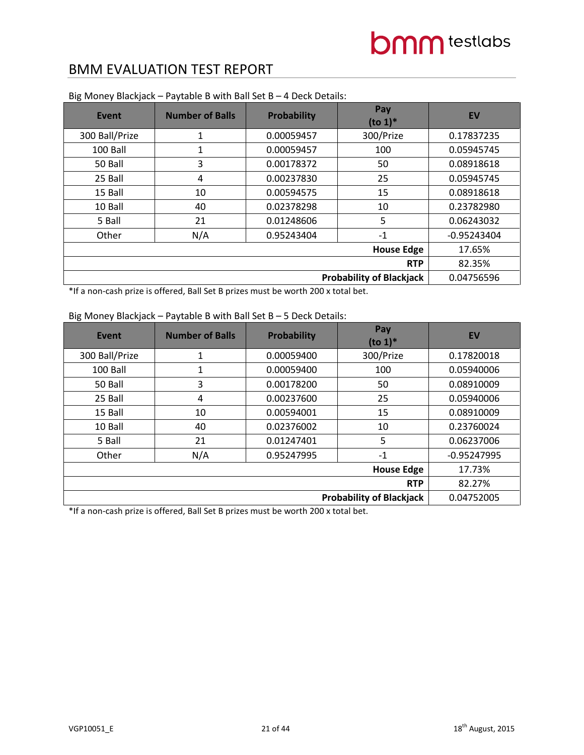| Event                           | <b>Number of Balls</b> | <b>Probability</b> | Pay<br>$(to 1)*$ | <b>EV</b>     |
|---------------------------------|------------------------|--------------------|------------------|---------------|
| 300 Ball/Prize                  | 1                      | 0.00059457         | 300/Prize        | 0.17837235    |
| 100 Ball                        | 1                      | 0.00059457         | 100              | 0.05945745    |
| 50 Ball                         | 3                      | 0.00178372         | 50               | 0.08918618    |
| 25 Ball                         | 4                      | 0.00237830         | 25               | 0.05945745    |
| 15 Ball                         | 10                     | 0.00594575         | 15               | 0.08918618    |
| 10 Ball                         | 40                     | 0.02378298         | 10               | 0.23782980    |
| 5 Ball                          | 21                     | 0.01248606         | 5                | 0.06243032    |
| Other                           | N/A                    | 0.95243404         | $-1$             | $-0.95243404$ |
|                                 | 17.65%                 |                    |                  |               |
|                                 | 82.35%                 |                    |                  |               |
| <b>Probability of Blackjack</b> |                        |                    |                  | 0.04756596    |

Big Money Blackjack – Paytable B with Ball Set B – 4 Deck Details:

\*If a non-cash prize is offered, Ball Set B prizes must be worth 200 x total bet.

### Big Money Blackjack – Paytable B with Ball Set B – 5 Deck Details:

| Event          | <b>Number of Balls</b>          | Probability | Pay<br>$(to 1)*$ | <b>EV</b>     |  |
|----------------|---------------------------------|-------------|------------------|---------------|--|
| 300 Ball/Prize | 1                               | 0.00059400  | 300/Prize        | 0.17820018    |  |
| 100 Ball       | 1                               | 0.00059400  | 100              | 0.05940006    |  |
| 50 Ball        | 3                               | 0.00178200  | 50               | 0.08910009    |  |
| 25 Ball        | 4                               | 0.00237600  | 25               | 0.05940006    |  |
| 15 Ball        | 10                              | 0.00594001  | 15               | 0.08910009    |  |
| 10 Ball        | 40                              | 0.02376002  | 10               | 0.23760024    |  |
| 5 Ball         | 21                              | 0.01247401  | 5                | 0.06237006    |  |
| Other          | N/A                             | 0.95247995  | $-1$             | $-0.95247995$ |  |
|                | 17.73%                          |             |                  |               |  |
|                | <b>RTP</b>                      |             |                  |               |  |
|                | <b>Probability of Blackjack</b> |             |                  |               |  |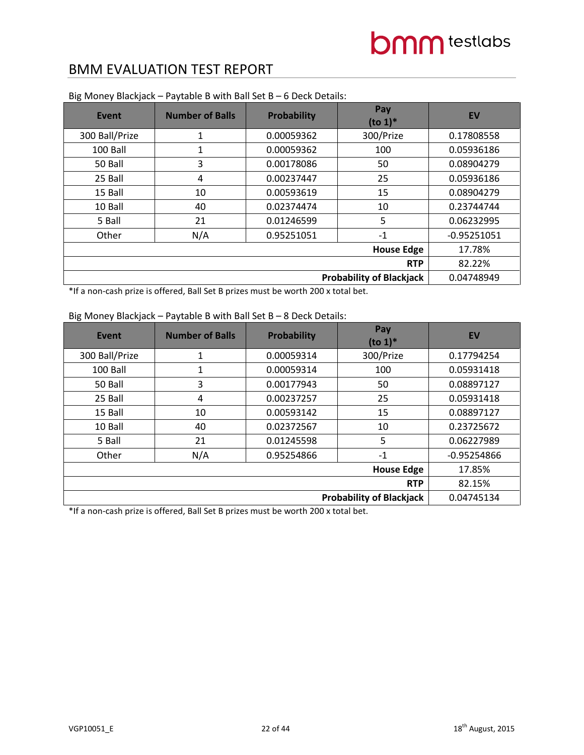| Event                           | <b>Number of Balls</b> | <b>Probability</b> | Pay<br>$(to 1)*$ | <b>EV</b>     |
|---------------------------------|------------------------|--------------------|------------------|---------------|
| 300 Ball/Prize                  | 1                      | 0.00059362         | 300/Prize        | 0.17808558    |
| 100 Ball                        | 1                      | 0.00059362         | 100              | 0.05936186    |
| 50 Ball                         | 3                      | 0.00178086         | 50               | 0.08904279    |
| 25 Ball                         | 4                      | 0.00237447         | 25               | 0.05936186    |
| 15 Ball                         | 10                     | 0.00593619         | 15               | 0.08904279    |
| 10 Ball                         | 40                     | 0.02374474         | 10               | 0.23744744    |
| 5 Ball                          | 21                     | 0.01246599         | 5                | 0.06232995    |
| Other                           | N/A                    | 0.95251051         | $-1$             | $-0.95251051$ |
|                                 | 17.78%                 |                    |                  |               |
|                                 | 82.22%                 |                    |                  |               |
| <b>Probability of Blackjack</b> |                        |                    |                  | 0.04748949    |

Big Money Blackjack – Paytable B with Ball Set B – 6 Deck Details:

\*If a non-cash prize is offered, Ball Set B prizes must be worth 200 x total bet.

### Big Money Blackjack – Paytable B with Ball Set B – 8 Deck Details:

| Event          | <b>Number of Balls</b>          | Probability | Pay<br>$($ to 1 $)$ <sup>*</sup> | <b>EV</b>     |  |
|----------------|---------------------------------|-------------|----------------------------------|---------------|--|
| 300 Ball/Prize | 1                               | 0.00059314  | 300/Prize                        | 0.17794254    |  |
| 100 Ball       | 1                               | 0.00059314  | 100                              | 0.05931418    |  |
| 50 Ball        | 3                               | 0.00177943  | 50                               | 0.08897127    |  |
| 25 Ball        | 4                               | 0.00237257  | 25                               | 0.05931418    |  |
| 15 Ball        | 10                              | 0.00593142  | 15                               | 0.08897127    |  |
| 10 Ball        | 40                              | 0.02372567  | 10                               | 0.23725672    |  |
| 5 Ball         | 21                              | 0.01245598  | 5                                | 0.06227989    |  |
| Other          | N/A                             | 0.95254866  | $-1$                             | $-0.95254866$ |  |
|                | 17.85%                          |             |                                  |               |  |
|                | <b>RTP</b>                      |             |                                  |               |  |
|                | <b>Probability of Blackjack</b> |             |                                  |               |  |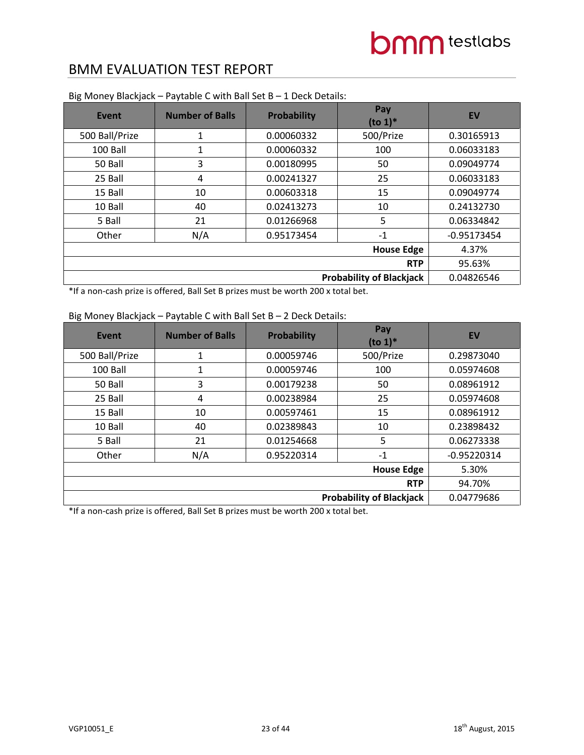| Event                           | <b>Number of Balls</b> | <b>Probability</b> | Pay<br>$(to 1)*$ | <b>EV</b>     |
|---------------------------------|------------------------|--------------------|------------------|---------------|
| 500 Ball/Prize                  | 1                      | 0.00060332         | 500/Prize        | 0.30165913    |
| 100 Ball                        | 1                      | 0.00060332         | 100              | 0.06033183    |
| 50 Ball                         | 3                      | 0.00180995         | 50               | 0.09049774    |
| 25 Ball                         | 4                      | 0.00241327         | 25               | 0.06033183    |
| 15 Ball                         | 10                     | 0.00603318         | 15               | 0.09049774    |
| 10 Ball                         | 40                     | 0.02413273         | 10               | 0.24132730    |
| 5 Ball                          | 21                     | 0.01266968         | 5                | 0.06334842    |
| Other                           | N/A                    | 0.95173454         | $-1$             | $-0.95173454$ |
|                                 | 4.37%                  |                    |                  |               |
|                                 | 95.63%                 |                    |                  |               |
| <b>Probability of Blackjack</b> |                        |                    |                  | 0.04826546    |

Big Money Blackjack – Paytable C with Ball Set B – 1 Deck Details:

\*If a non-cash prize is offered, Ball Set B prizes must be worth 200 x total bet.

### Big Money Blackjack – Paytable C with Ball Set B – 2 Deck Details:

| Event          | <b>Number of Balls</b>          | Probability | Pay<br>$($ to 1 $)$ <sup>*</sup> | <b>EV</b>     |  |
|----------------|---------------------------------|-------------|----------------------------------|---------------|--|
| 500 Ball/Prize | 1                               | 0.00059746  | 500/Prize                        | 0.29873040    |  |
| 100 Ball       | 1                               | 0.00059746  | 100                              | 0.05974608    |  |
| 50 Ball        | 3                               | 0.00179238  | 50                               | 0.08961912    |  |
| 25 Ball        | 4                               | 0.00238984  | 25                               | 0.05974608    |  |
| 15 Ball        | 10                              | 0.00597461  | 15                               | 0.08961912    |  |
| 10 Ball        | 40                              | 0.02389843  | 10                               | 0.23898432    |  |
| 5 Ball         | 21                              | 0.01254668  | 5                                | 0.06273338    |  |
| Other          | N/A                             | 0.95220314  | $-1$                             | $-0.95220314$ |  |
|                | 5.30%                           |             |                                  |               |  |
|                | <b>RTP</b>                      |             |                                  |               |  |
|                | <b>Probability of Blackjack</b> |             |                                  |               |  |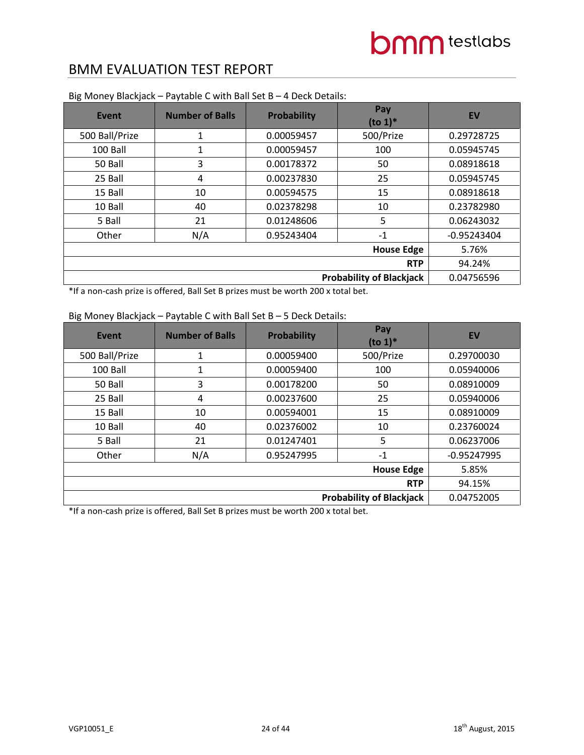| Event                           | <b>Number of Balls</b> | <b>Probability</b> | Pay<br>$(to 1)*$ | <b>EV</b>     |
|---------------------------------|------------------------|--------------------|------------------|---------------|
| 500 Ball/Prize                  | 1                      | 0.00059457         | 500/Prize        | 0.29728725    |
| 100 Ball                        | 1                      | 0.00059457         | 100              | 0.05945745    |
| 50 Ball                         | 3                      | 0.00178372         | 50               | 0.08918618    |
| 25 Ball                         | 4                      | 0.00237830         | 25               | 0.05945745    |
| 15 Ball                         | 10                     | 0.00594575         | 15               | 0.08918618    |
| 10 Ball                         | 40                     | 0.02378298         | 10               | 0.23782980    |
| 5 Ball                          | 21                     | 0.01248606         | 5                | 0.06243032    |
| Other                           | N/A                    | 0.95243404         | $-1$             | $-0.95243404$ |
|                                 | 5.76%                  |                    |                  |               |
|                                 | 94.24%                 |                    |                  |               |
| <b>Probability of Blackjack</b> |                        |                    |                  | 0.04756596    |

Big Money Blackjack – Paytable C with Ball Set B – 4 Deck Details:

\*If a non-cash prize is offered, Ball Set B prizes must be worth 200 x total bet.

### Big Money Blackjack – Paytable C with Ball Set B – 5 Deck Details:

| Event          | <b>Number of Balls</b>          | Probability | Pay<br>$(to 1)*$ | <b>EV</b>     |  |
|----------------|---------------------------------|-------------|------------------|---------------|--|
| 500 Ball/Prize | 1                               | 0.00059400  | 500/Prize        | 0.29700030    |  |
| 100 Ball       | 1                               | 0.00059400  | 100              | 0.05940006    |  |
| 50 Ball        | 3                               | 0.00178200  | 50               | 0.08910009    |  |
| 25 Ball        | 4                               | 0.00237600  | 25               | 0.05940006    |  |
| 15 Ball        | 10                              | 0.00594001  | 15               | 0.08910009    |  |
| 10 Ball        | 40                              | 0.02376002  | 10               | 0.23760024    |  |
| 5 Ball         | 21                              | 0.01247401  | 5                | 0.06237006    |  |
| Other          | N/A                             | 0.95247995  | $-1$             | $-0.95247995$ |  |
|                | 5.85%                           |             |                  |               |  |
|                | <b>RTP</b>                      |             |                  |               |  |
|                | <b>Probability of Blackjack</b> |             |                  |               |  |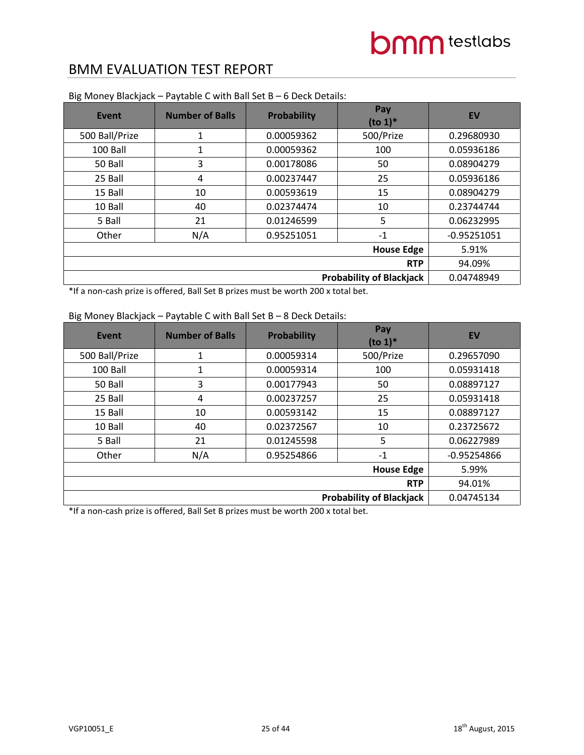| Event                           | <b>Number of Balls</b> | <b>Probability</b> | Pay<br>$(to 1)*$ | <b>EV</b>     |
|---------------------------------|------------------------|--------------------|------------------|---------------|
| 500 Ball/Prize                  | 1                      | 0.00059362         | 500/Prize        | 0.29680930    |
| 100 Ball                        | 1                      | 0.00059362         | 100              | 0.05936186    |
| 50 Ball                         | 3                      | 0.00178086         | 50               | 0.08904279    |
| 25 Ball                         | 4                      | 0.00237447         | 25               | 0.05936186    |
| 15 Ball                         | 10                     | 0.00593619         | 15               | 0.08904279    |
| 10 Ball                         | 40                     | 0.02374474         | 10               | 0.23744744    |
| 5 Ball                          | 21                     | 0.01246599         | 5                | 0.06232995    |
| Other                           | N/A                    | 0.95251051         | $-1$             | $-0.95251051$ |
|                                 | 5.91%                  |                    |                  |               |
|                                 | 94.09%                 |                    |                  |               |
| <b>Probability of Blackjack</b> |                        |                    |                  | 0.04748949    |

Big Money Blackjack – Paytable C with Ball Set B – 6 Deck Details:

\*If a non-cash prize is offered, Ball Set B prizes must be worth 200 x total bet.

### Big Money Blackjack – Paytable C with Ball Set B – 8 Deck Details:

| Event          | <b>Number of Balls</b>          | Probability | Pay<br>$($ to 1 $)$ <sup>*</sup> | <b>EV</b>     |  |
|----------------|---------------------------------|-------------|----------------------------------|---------------|--|
| 500 Ball/Prize | 1                               | 0.00059314  | 500/Prize                        | 0.29657090    |  |
| 100 Ball       | 1                               | 0.00059314  | 100                              | 0.05931418    |  |
| 50 Ball        | 3                               | 0.00177943  | 50                               | 0.08897127    |  |
| 25 Ball        | 4                               | 0.00237257  | 25                               | 0.05931418    |  |
| 15 Ball        | 10                              | 0.00593142  | 15                               | 0.08897127    |  |
| 10 Ball        | 40                              | 0.02372567  | 10                               | 0.23725672    |  |
| 5 Ball         | 21                              | 0.01245598  | 5                                | 0.06227989    |  |
| Other          | N/A                             | 0.95254866  | $-1$                             | $-0.95254866$ |  |
|                | 5.99%                           |             |                                  |               |  |
|                | <b>RTP</b>                      |             |                                  |               |  |
|                | <b>Probability of Blackjack</b> |             |                                  |               |  |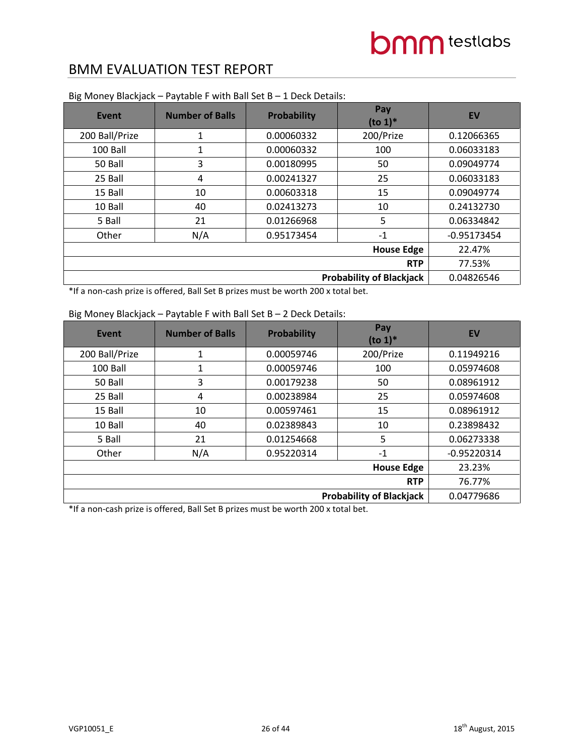| <b>Event</b>                    | <b>Number of Balls</b> | Probability | Pay<br>$(to 1)*$ | <b>EV</b>     |
|---------------------------------|------------------------|-------------|------------------|---------------|
| 200 Ball/Prize                  | 1                      | 0.00060332  | 200/Prize        | 0.12066365    |
| 100 Ball                        | 1                      | 0.00060332  | 100              | 0.06033183    |
| 50 Ball                         | 3                      | 0.00180995  | 50               | 0.09049774    |
| 25 Ball                         | 4                      | 0.00241327  | 25               | 0.06033183    |
| 15 Ball                         | 10                     | 0.00603318  | 15               | 0.09049774    |
| 10 Ball                         | 40                     | 0.02413273  | 10               | 0.24132730    |
| 5 Ball                          | 21                     | 0.01266968  | 5                | 0.06334842    |
| Other                           | N/A                    | 0.95173454  | $-1$             | $-0.95173454$ |
|                                 | 22.47%                 |             |                  |               |
|                                 | 77.53%                 |             |                  |               |
| <b>Probability of Blackjack</b> |                        |             |                  | 0.04826546    |

Big Money Blackjack – Paytable F with Ball Set B – 1 Deck Details:

\*If a non-cash prize is offered, Ball Set B prizes must be worth 200 x total bet.

| Event                           | <b>Number of Balls</b> | Probability | Pay<br>$(to 1)*$ | <b>EV</b>     |
|---------------------------------|------------------------|-------------|------------------|---------------|
| 200 Ball/Prize                  | 1                      | 0.00059746  | 200/Prize        | 0.11949216    |
| 100 Ball                        | 1                      | 0.00059746  | 100              | 0.05974608    |
| 50 Ball                         | 3                      | 0.00179238  | 50               | 0.08961912    |
| 25 Ball                         | 4                      | 0.00238984  | 25               | 0.05974608    |
| 15 Ball                         | 10                     | 0.00597461  | 15               | 0.08961912    |
| 10 Ball                         | 40                     | 0.02389843  | 10               | 0.23898432    |
| 5 Ball                          | 21                     | 0.01254668  | 5                | 0.06273338    |
| Other                           | N/A                    | 0.95220314  | $-1$             | $-0.95220314$ |
|                                 | 23.23%                 |             |                  |               |
|                                 | 76.77%                 |             |                  |               |
| <b>Probability of Blackjack</b> |                        |             |                  | 0.04779686    |

#### Big Money Blackjack – Paytable F with Ball Set B – 2 Deck Details: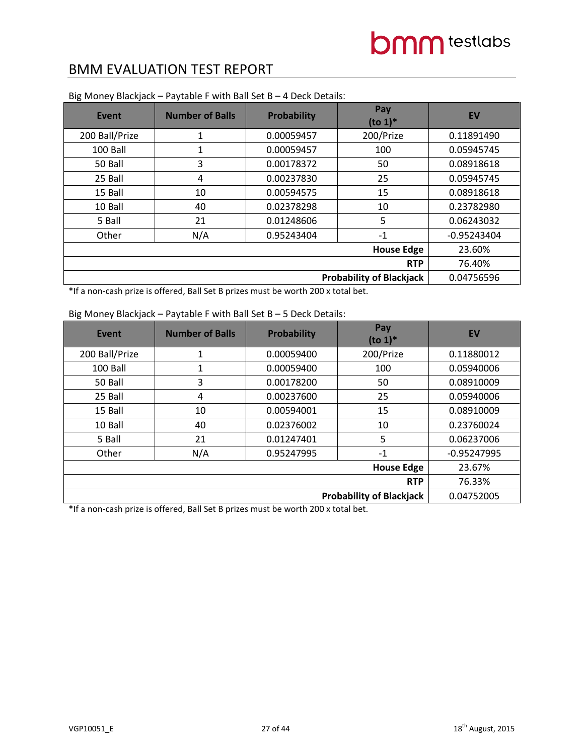| <b>Event</b>                    | <b>Number of Balls</b> | <b>Probability</b> | Pay<br>$(to 1)*$ | <b>EV</b>     |
|---------------------------------|------------------------|--------------------|------------------|---------------|
| 200 Ball/Prize                  | $\mathbf{1}$           | 0.00059457         | 200/Prize        | 0.11891490    |
| 100 Ball                        | 1                      | 0.00059457         | 100              | 0.05945745    |
| 50 Ball                         | 3                      | 0.00178372         | 50               | 0.08918618    |
| 25 Ball                         | 4                      | 0.00237830         | 25               | 0.05945745    |
| 15 Ball                         | 10                     | 0.00594575         | 15               | 0.08918618    |
| 10 Ball                         | 40                     | 0.02378298         | 10               | 0.23782980    |
| 5 Ball                          | 21                     | 0.01248606         | 5                | 0.06243032    |
| Other                           | N/A                    | 0.95243404         | $-1$             | $-0.95243404$ |
|                                 | 23.60%                 |                    |                  |               |
|                                 | 76.40%                 |                    |                  |               |
| <b>Probability of Blackjack</b> |                        |                    |                  | 0.04756596    |

Big Money Blackjack – Paytable F with Ball Set B – 4 Deck Details:

\*If a non-cash prize is offered, Ball Set B prizes must be worth 200 x total bet.

| Event                           | <b>Number of Balls</b> | <b>Probability</b> | Pay<br>$(to 1)*$ | EV            |
|---------------------------------|------------------------|--------------------|------------------|---------------|
| 200 Ball/Prize                  | 1                      | 0.00059400         | 200/Prize        | 0.11880012    |
| 100 Ball                        | 1                      | 0.00059400         | 100              | 0.05940006    |
| 50 Ball                         | 3                      | 0.00178200         | 50               | 0.08910009    |
| 25 Ball                         | 4                      | 0.00237600         | 25               | 0.05940006    |
| 15 Ball                         | 10                     | 0.00594001         | 15               | 0.08910009    |
| 10 Ball                         | 40                     | 0.02376002         | 10               | 0.23760024    |
| 5 Ball                          | 21                     | 0.01247401         | 5                | 0.06237006    |
| Other                           | N/A                    | 0.95247995         | $-1$             | $-0.95247995$ |
|                                 | 23.67%                 |                    |                  |               |
|                                 | 76.33%                 |                    |                  |               |
| <b>Probability of Blackjack</b> |                        |                    |                  | 0.04752005    |

#### Big Money Blackjack – Paytable F with Ball Set B – 5 Deck Details: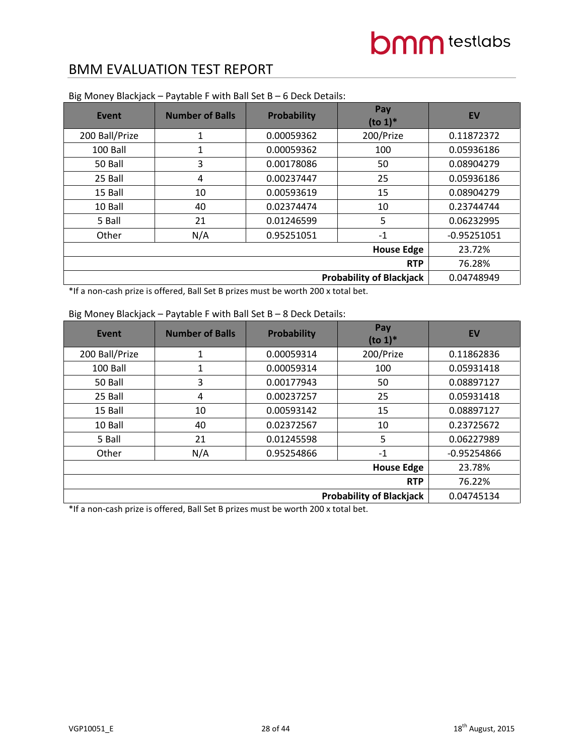| <b>Event</b>                    | <b>Number of Balls</b> | <b>Probability</b> | Pay<br>$(to 1)*$ | <b>EV</b>     |
|---------------------------------|------------------------|--------------------|------------------|---------------|
| 200 Ball/Prize                  | $\mathbf{1}$           | 0.00059362         | 200/Prize        | 0.11872372    |
| 100 Ball                        | 1                      | 0.00059362         | 100              | 0.05936186    |
| 50 Ball                         | 3                      | 0.00178086         | 50               | 0.08904279    |
| 25 Ball                         | 4                      | 0.00237447         | 25               | 0.05936186    |
| 15 Ball                         | 10                     | 0.00593619         | 15               | 0.08904279    |
| 10 Ball                         | 40                     | 0.02374474         | 10               | 0.23744744    |
| 5 Ball                          | 21                     | 0.01246599         | 5                | 0.06232995    |
| Other                           | N/A                    | 0.95251051         | $-1$             | $-0.95251051$ |
|                                 | 23.72%                 |                    |                  |               |
|                                 | 76.28%                 |                    |                  |               |
| <b>Probability of Blackjack</b> |                        |                    |                  | 0.04748949    |

Big Money Blackjack – Paytable F with Ball Set B – 6 Deck Details:

\*If a non-cash prize is offered, Ball Set B prizes must be worth 200 x total bet.

| <b>Event</b>                    | <b>Number of Balls</b> | Probability | Pay<br>$(to 1)*$ | <b>EV</b>     |
|---------------------------------|------------------------|-------------|------------------|---------------|
| 200 Ball/Prize                  | 1                      | 0.00059314  | 200/Prize        | 0.11862836    |
| 100 Ball                        | 1                      | 0.00059314  | 100              | 0.05931418    |
| 50 Ball                         | 3                      | 0.00177943  | 50               | 0.08897127    |
| 25 Ball                         | 4                      | 0.00237257  | 25               | 0.05931418    |
| 15 Ball                         | 10                     | 0.00593142  | 15               | 0.08897127    |
| 10 Ball                         | 40                     | 0.02372567  | 10               | 0.23725672    |
| 5 Ball                          | 21                     | 0.01245598  | 5                | 0.06227989    |
| Other                           | N/A                    | 0.95254866  | $-1$             | $-0.95254866$ |
|                                 | 23.78%                 |             |                  |               |
|                                 | 76.22%                 |             |                  |               |
| <b>Probability of Blackjack</b> |                        |             |                  | 0.04745134    |

#### Big Money Blackjack – Paytable F with Ball Set B – 8 Deck Details: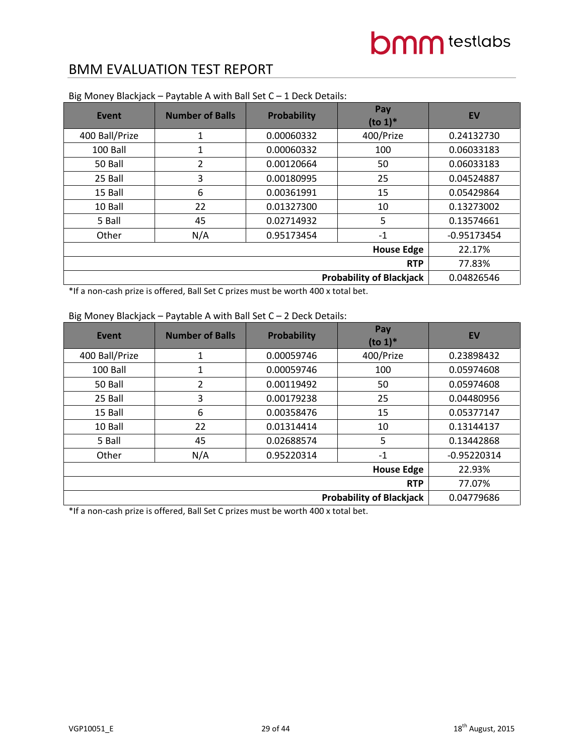| Event                           | <b>Number of Balls</b> | Probability | Pay<br>$($ to 1 $)$ <sup>*</sup> | <b>EV</b>     |
|---------------------------------|------------------------|-------------|----------------------------------|---------------|
| 400 Ball/Prize                  | 1                      | 0.00060332  | 400/Prize                        | 0.24132730    |
| 100 Ball                        | 1                      | 0.00060332  | 100                              | 0.06033183    |
| 50 Ball                         | 2                      | 0.00120664  | 50                               | 0.06033183    |
| 25 Ball                         | 3                      | 0.00180995  | 25                               | 0.04524887    |
| 15 Ball                         | 6                      | 0.00361991  | 15                               | 0.05429864    |
| 10 Ball                         | 22                     | 0.01327300  | 10                               | 0.13273002    |
| 5 Ball                          | 45                     | 0.02714932  | 5                                | 0.13574661    |
| Other                           | N/A                    | 0.95173454  | $-1$                             | $-0.95173454$ |
|                                 | 22.17%                 |             |                                  |               |
|                                 | 77.83%                 |             |                                  |               |
| <b>Probability of Blackjack</b> |                        |             |                                  | 0.04826546    |

Big Money Blackjack – Paytable A with Ball Set C – 1 Deck Details:

\*If a non-cash prize is offered, Ball Set C prizes must be worth 400 x total bet.

### Big Money Blackjack – Paytable A with Ball Set C – 2 Deck Details:

| Event          | <b>Number of Balls</b> | Probability | Pay<br>$(to 1)*$ | <b>EV</b>     |
|----------------|------------------------|-------------|------------------|---------------|
| 400 Ball/Prize | 1                      | 0.00059746  | 400/Prize        | 0.23898432    |
| 100 Ball       | 1                      | 0.00059746  | 100              | 0.05974608    |
| 50 Ball        | 2                      | 0.00119492  | 50               | 0.05974608    |
| 25 Ball        | 3                      | 0.00179238  | 25               | 0.04480956    |
| 15 Ball        | 6                      | 0.00358476  | 15               | 0.05377147    |
| 10 Ball        | 22                     | 0.01314414  | 10               | 0.13144137    |
| 5 Ball         | 45                     | 0.02688574  | 5                | 0.13442868    |
| Other          | N/A                    | 0.95220314  | $-1$             | $-0.95220314$ |
|                | 22.93%                 |             |                  |               |
|                | 77.07%                 |             |                  |               |
|                | 0.04779686             |             |                  |               |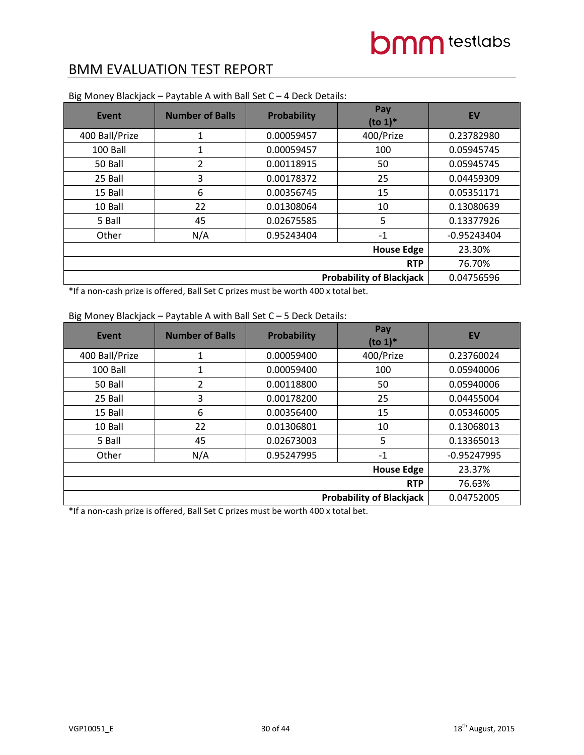| Event                           | <b>Number of Balls</b> | Probability | Pay<br>$(to 1)*$ | <b>EV</b>     |
|---------------------------------|------------------------|-------------|------------------|---------------|
| 400 Ball/Prize                  | 1                      | 0.00059457  | 400/Prize        | 0.23782980    |
| 100 Ball                        | 1                      | 0.00059457  | 100              | 0.05945745    |
| 50 Ball                         | 2                      | 0.00118915  | 50               | 0.05945745    |
| 25 Ball                         | 3                      | 0.00178372  | 25               | 0.04459309    |
| 15 Ball                         | 6                      | 0.00356745  | 15               | 0.05351171    |
| 10 Ball                         | 22                     | 0.01308064  | 10               | 0.13080639    |
| 5 Ball                          | 45                     | 0.02675585  | 5                | 0.13377926    |
| Other                           | N/A                    | 0.95243404  | $-1$             | $-0.95243404$ |
|                                 | 23.30%                 |             |                  |               |
|                                 | 76.70%                 |             |                  |               |
| <b>Probability of Blackjack</b> |                        |             |                  | 0.04756596    |

Big Money Blackjack – Paytable A with Ball Set C – 4 Deck Details:

\*If a non-cash prize is offered, Ball Set C prizes must be worth 400 x total bet.

### Big Money Blackjack – Paytable A with Ball Set C – 5 Deck Details:

| Event                           | <b>Number of Balls</b> | Probability | Pay<br>$(to 1)*$ | <b>EV</b>     |  |
|---------------------------------|------------------------|-------------|------------------|---------------|--|
| 400 Ball/Prize                  | 1                      | 0.00059400  | 400/Prize        | 0.23760024    |  |
| 100 Ball                        | 1                      | 0.00059400  | 100              | 0.05940006    |  |
| 50 Ball                         | 2                      | 0.00118800  | 50               | 0.05940006    |  |
| 25 Ball                         | 3                      | 0.00178200  | 25               | 0.04455004    |  |
| 15 Ball                         | 6                      | 0.00356400  | 15               | 0.05346005    |  |
| 10 Ball                         | 22                     | 0.01306801  | 10               | 0.13068013    |  |
| 5 Ball                          | 45                     | 0.02673003  | 5                | 0.13365013    |  |
| Other                           | N/A                    | 0.95247995  | $-1$             | $-0.95247995$ |  |
|                                 | 23.37%                 |             |                  |               |  |
|                                 | <b>RTP</b>             |             |                  |               |  |
| <b>Probability of Blackjack</b> |                        |             |                  | 0.04752005    |  |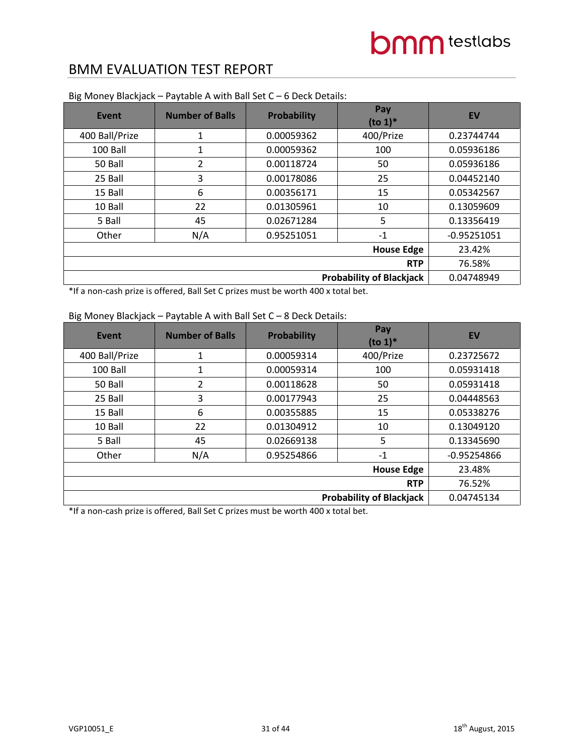| Event                           | <b>Number of Balls</b> | Probability | Pay<br>$(to 1)*$ | <b>EV</b>     |
|---------------------------------|------------------------|-------------|------------------|---------------|
| 400 Ball/Prize                  | 1                      | 0.00059362  | 400/Prize        | 0.23744744    |
| 100 Ball                        | 1                      | 0.00059362  | 100              | 0.05936186    |
| 50 Ball                         | 2                      | 0.00118724  | 50               | 0.05936186    |
| 25 Ball                         | 3                      | 0.00178086  | 25               | 0.04452140    |
| 15 Ball                         | 6                      | 0.00356171  | 15               | 0.05342567    |
| 10 Ball                         | 22                     | 0.01305961  | 10               | 0.13059609    |
| 5 Ball                          | 45                     | 0.02671284  | 5                | 0.13356419    |
| Other                           | N/A                    | 0.95251051  | $-1$             | $-0.95251051$ |
|                                 | 23.42%                 |             |                  |               |
|                                 | 76.58%                 |             |                  |               |
| <b>Probability of Blackjack</b> |                        |             |                  | 0.04748949    |

Big Money Blackjack – Paytable A with Ball Set C – 6 Deck Details:

\*If a non-cash prize is offered, Ball Set C prizes must be worth 400 x total bet.

### Big Money Blackjack – Paytable A with Ball Set C – 8 Deck Details:

| Event                           | <b>Number of Balls</b> | Probability | Pay<br>$($ to 1 $)$ <sup>*</sup> | <b>EV</b>     |
|---------------------------------|------------------------|-------------|----------------------------------|---------------|
| 400 Ball/Prize                  | 1                      | 0.00059314  | 400/Prize                        | 0.23725672    |
| 100 Ball                        | 1                      | 0.00059314  | 100                              | 0.05931418    |
| 50 Ball                         | 2                      | 0.00118628  | 50                               | 0.05931418    |
| 25 Ball                         | 3                      | 0.00177943  | 25                               | 0.04448563    |
| 15 Ball                         | 6                      | 0.00355885  | 15                               | 0.05338276    |
| 10 Ball                         | 22                     | 0.01304912  | 10                               | 0.13049120    |
| 5 Ball                          | 45                     | 0.02669138  | 5                                | 0.13345690    |
| Other                           | N/A                    | 0.95254866  | $-1$                             | $-0.95254866$ |
|                                 | 23.48%                 |             |                                  |               |
|                                 | 76.52%                 |             |                                  |               |
| <b>Probability of Blackjack</b> |                        |             |                                  | 0.04745134    |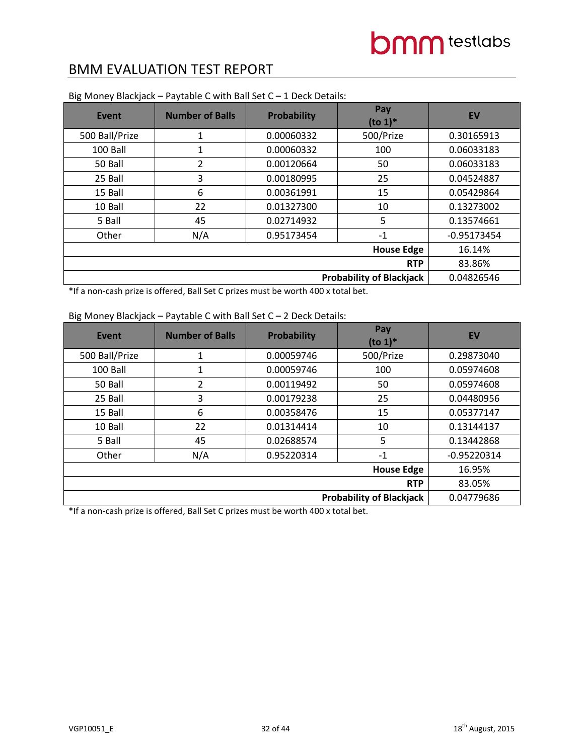| Event                           | <b>Number of Balls</b> | Probability | Pay<br>$(to 1)*$ | <b>EV</b>     |
|---------------------------------|------------------------|-------------|------------------|---------------|
| 500 Ball/Prize                  | 1                      | 0.00060332  | 500/Prize        | 0.30165913    |
| 100 Ball                        | 1                      | 0.00060332  | 100              | 0.06033183    |
| 50 Ball                         | 2                      | 0.00120664  | 50               | 0.06033183    |
| 25 Ball                         | 3                      | 0.00180995  | 25               | 0.04524887    |
| 15 Ball                         | 6                      | 0.00361991  | 15               | 0.05429864    |
| 10 Ball                         | 22                     | 0.01327300  | 10               | 0.13273002    |
| 5 Ball                          | 45                     | 0.02714932  | 5                | 0.13574661    |
| Other                           | N/A                    | 0.95173454  | $-1$             | $-0.95173454$ |
|                                 | 16.14%                 |             |                  |               |
|                                 | 83.86%                 |             |                  |               |
| <b>Probability of Blackjack</b> |                        |             |                  | 0.04826546    |

Big Money Blackjack – Paytable C with Ball Set C – 1 Deck Details:

\*If a non-cash prize is offered, Ball Set C prizes must be worth 400 x total bet.

### Big Money Blackjack – Paytable C with Ball Set C – 2 Deck Details:

| Event          | <b>Number of Balls</b>          | <b>Probability</b> | Pay<br>$($ to 1 $)$ <sup>*</sup> | EV            |  |
|----------------|---------------------------------|--------------------|----------------------------------|---------------|--|
| 500 Ball/Prize | $\mathbf 1$                     | 0.00059746         | 500/Prize                        | 0.29873040    |  |
| 100 Ball       | 1                               | 0.00059746         | 100                              | 0.05974608    |  |
| 50 Ball        | 2                               | 0.00119492         | 50                               | 0.05974608    |  |
| 25 Ball        | 3                               | 0.00179238         | 25                               | 0.04480956    |  |
| 15 Ball        | 6                               | 0.00358476         | 15                               | 0.05377147    |  |
| 10 Ball        | 22                              | 0.01314414         | 10                               | 0.13144137    |  |
| 5 Ball         | 45                              | 0.02688574         | 5                                | 0.13442868    |  |
| Other          | N/A                             | 0.95220314         | $-1$                             | $-0.95220314$ |  |
|                | 16.95%                          |                    |                                  |               |  |
|                | <b>RTP</b>                      |                    |                                  |               |  |
|                | <b>Probability of Blackjack</b> |                    |                                  |               |  |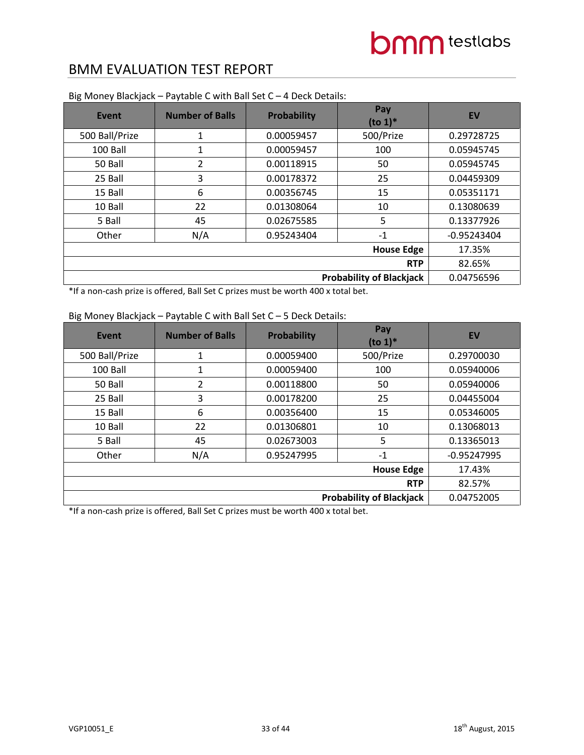| Event                           | <b>Number of Balls</b> | Probability | Pay<br>$(to 1)*$ | <b>EV</b>     |
|---------------------------------|------------------------|-------------|------------------|---------------|
| 500 Ball/Prize                  | 1                      | 0.00059457  | 500/Prize        | 0.29728725    |
| 100 Ball                        | 1                      | 0.00059457  | 100              | 0.05945745    |
| 50 Ball                         | 2                      | 0.00118915  | 50               | 0.05945745    |
| 25 Ball                         | 3                      | 0.00178372  | 25               | 0.04459309    |
| 15 Ball                         | 6                      | 0.00356745  | 15               | 0.05351171    |
| 10 Ball                         | 22                     | 0.01308064  | 10               | 0.13080639    |
| 5 Ball                          | 45                     | 0.02675585  | 5                | 0.13377926    |
| Other                           | N/A                    | 0.95243404  | $-1$             | $-0.95243404$ |
|                                 | 17.35%                 |             |                  |               |
|                                 | 82.65%                 |             |                  |               |
| <b>Probability of Blackjack</b> |                        |             |                  | 0.04756596    |

Big Money Blackjack – Paytable C with Ball Set C – 4 Deck Details:

\*If a non-cash prize is offered, Ball Set C prizes must be worth 400 x total bet.

### Big Money Blackjack – Paytable C with Ball Set C – 5 Deck Details:

| Event          | <b>Number of Balls</b>          | Probability | Pay<br>$(to 1)*$ | <b>EV</b>     |  |
|----------------|---------------------------------|-------------|------------------|---------------|--|
| 500 Ball/Prize | 1                               | 0.00059400  | 500/Prize        | 0.29700030    |  |
| 100 Ball       | 1                               | 0.00059400  | 100              | 0.05940006    |  |
| 50 Ball        | 2                               | 0.00118800  | 50               | 0.05940006    |  |
| 25 Ball        | 3                               | 0.00178200  | 25               | 0.04455004    |  |
| 15 Ball        | 6                               | 0.00356400  | 15               | 0.05346005    |  |
| 10 Ball        | 22                              | 0.01306801  | 10               | 0.13068013    |  |
| 5 Ball         | 45                              | 0.02673003  | 5                | 0.13365013    |  |
| Other          | N/A                             | 0.95247995  | $-1$             | $-0.95247995$ |  |
|                | 17.43%                          |             |                  |               |  |
|                | <b>RTP</b>                      |             |                  |               |  |
|                | <b>Probability of Blackjack</b> |             |                  |               |  |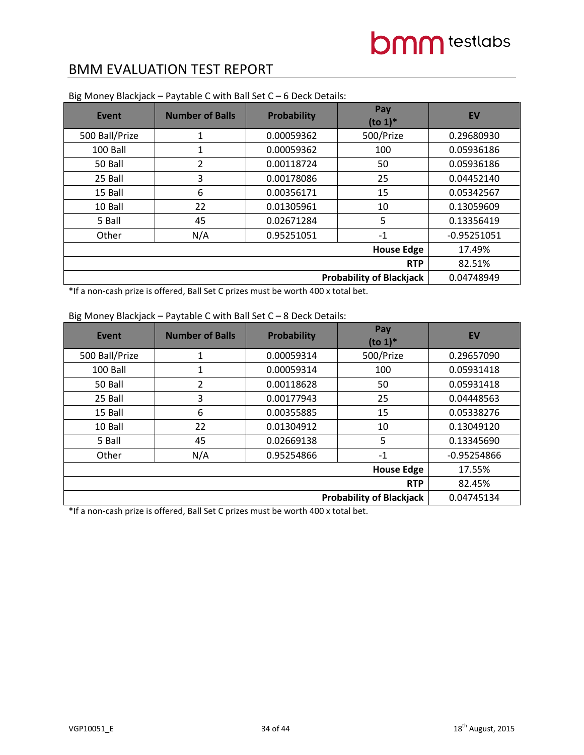| <b>Event</b>                    | <b>Number of Balls</b> | <b>Probability</b> | Pay<br>$(to 1)*$ | <b>EV</b>     |
|---------------------------------|------------------------|--------------------|------------------|---------------|
| 500 Ball/Prize                  | 1                      | 0.00059362         | 500/Prize        | 0.29680930    |
| 100 Ball                        | 1                      | 0.00059362         | 100              | 0.05936186    |
| 50 Ball                         | 2                      | 0.00118724         | 50               | 0.05936186    |
| 25 Ball                         | 3                      | 0.00178086         | 25               | 0.04452140    |
| 15 Ball                         | 6                      | 0.00356171         | 15               | 0.05342567    |
| 10 Ball                         | 22                     | 0.01305961         | 10               | 0.13059609    |
| 5 Ball                          | 45                     | 0.02671284         | 5                | 0.13356419    |
| Other                           | N/A                    | 0.95251051         | $-1$             | $-0.95251051$ |
|                                 | 17.49%                 |                    |                  |               |
|                                 | 82.51%                 |                    |                  |               |
| <b>Probability of Blackjack</b> |                        |                    |                  | 0.04748949    |

Big Money Blackjack – Paytable C with Ball Set C – 6 Deck Details:

\*If a non-cash prize is offered, Ball Set C prizes must be worth 400 x total bet.

### Big Money Blackjack – Paytable C with Ball Set C – 8 Deck Details:

| Event          | <b>Number of Balls</b>          | <b>Probability</b> | Pay<br>$($ to 1 $)$ <sup>*</sup> | EV            |  |
|----------------|---------------------------------|--------------------|----------------------------------|---------------|--|
| 500 Ball/Prize | 1                               | 0.00059314         | 500/Prize                        | 0.29657090    |  |
| 100 Ball       | 1                               | 0.00059314         | 100                              | 0.05931418    |  |
| 50 Ball        | 2                               | 0.00118628         | 50                               | 0.05931418    |  |
| 25 Ball        | 3                               | 0.00177943         | 25                               | 0.04448563    |  |
| 15 Ball        | 6                               | 0.00355885         | 15                               | 0.05338276    |  |
| 10 Ball        | 22                              | 0.01304912         | 10                               | 0.13049120    |  |
| 5 Ball         | 45                              | 0.02669138         | 5                                | 0.13345690    |  |
| Other          | N/A                             | 0.95254866         | $-1$                             | $-0.95254866$ |  |
|                | 17.55%                          |                    |                                  |               |  |
|                | 82.45%                          |                    |                                  |               |  |
|                | <b>Probability of Blackjack</b> |                    |                                  |               |  |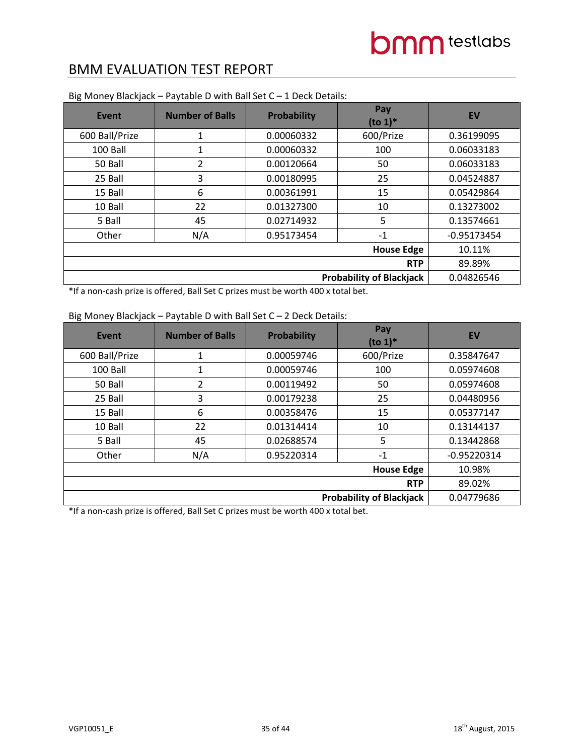| Event                           | <b>Number of Balls</b> | Probability | Pay<br>$(to 1)*$ | <b>EV</b>     |
|---------------------------------|------------------------|-------------|------------------|---------------|
| 600 Ball/Prize                  | 1                      | 0.00060332  | 600/Prize        | 0.36199095    |
| 100 Ball                        | 1                      | 0.00060332  | 100              | 0.06033183    |
| 50 Ball                         | 2                      | 0.00120664  | 50               | 0.06033183    |
| 25 Ball                         | 3                      | 0.00180995  | 25               | 0.04524887    |
| 15 Ball                         | 6                      | 0.00361991  | 15               | 0.05429864    |
| 10 Ball                         | 22                     | 0.01327300  | 10               | 0.13273002    |
| 5 Ball                          | 45                     | 0.02714932  | 5                | 0.13574661    |
| Other                           | N/A                    | 0.95173454  | $-1$             | $-0.95173454$ |
|                                 | 10.11%                 |             |                  |               |
|                                 | 89.89%                 |             |                  |               |
| <b>Probability of Blackjack</b> |                        |             |                  | 0.04826546    |

Big Money Blackjack – Paytable D with Ball Set C – 1 Deck Details:

\*If a non-cash prize is offered, Ball Set C prizes must be worth 400 x total bet.

### Big Money Blackjack – Paytable D with Ball Set C – 2 Deck Details:

| Event          | <b>Number of Balls</b>          | Probability | Pay<br>$(to 1)*$ | <b>EV</b>     |  |
|----------------|---------------------------------|-------------|------------------|---------------|--|
| 600 Ball/Prize | 1                               | 0.00059746  | 600/Prize        | 0.35847647    |  |
| 100 Ball       | 1                               | 0.00059746  | 100              | 0.05974608    |  |
| 50 Ball        | 2                               | 0.00119492  | 50               | 0.05974608    |  |
| 25 Ball        | 3                               | 0.00179238  | 25               | 0.04480956    |  |
| 15 Ball        | 6                               | 0.00358476  | 15               | 0.05377147    |  |
| 10 Ball        | 22                              | 0.01314414  | 10               | 0.13144137    |  |
| 5 Ball         | 45                              | 0.02688574  | 5                | 0.13442868    |  |
| Other          | N/A                             | 0.95220314  | $-1$             | $-0.95220314$ |  |
|                | 10.98%                          |             |                  |               |  |
|                | <b>RTP</b>                      |             |                  |               |  |
|                | <b>Probability of Blackjack</b> |             |                  |               |  |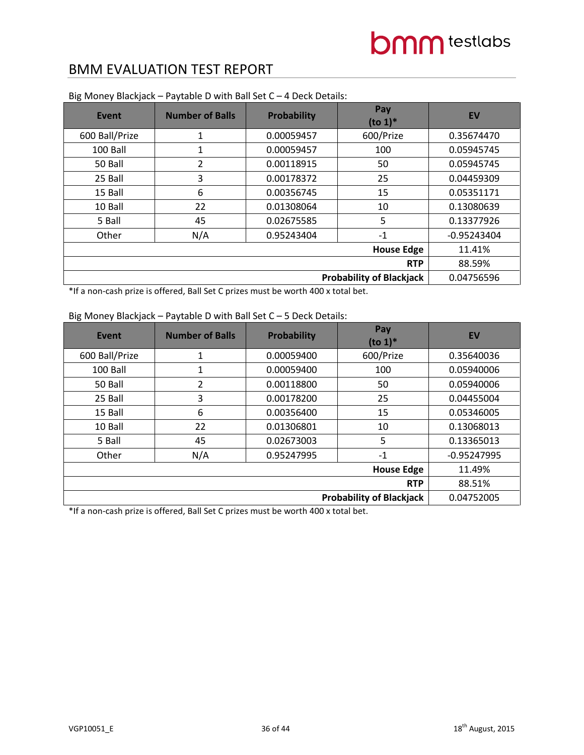| <b>Event</b>                    | <b>Number of Balls</b> | Probability | Pay<br>$($ to 1 $)$ <sup>*</sup> | <b>EV</b>     |
|---------------------------------|------------------------|-------------|----------------------------------|---------------|
| 600 Ball/Prize                  | 1                      | 0.00059457  | 600/Prize                        | 0.35674470    |
| 100 Ball                        | 1                      | 0.00059457  | 100                              | 0.05945745    |
| 50 Ball                         | 2                      | 0.00118915  | 50                               | 0.05945745    |
| 25 Ball                         | 3                      | 0.00178372  | 25                               | 0.04459309    |
| 15 Ball                         | 6                      | 0.00356745  | 15                               | 0.05351171    |
| 10 Ball                         | 22                     | 0.01308064  | 10                               | 0.13080639    |
| 5 Ball                          | 45                     | 0.02675585  | 5                                | 0.13377926    |
| Other                           | N/A                    | 0.95243404  | $-1$                             | $-0.95243404$ |
|                                 | 11.41%                 |             |                                  |               |
|                                 | 88.59%                 |             |                                  |               |
| <b>Probability of Blackjack</b> |                        |             |                                  | 0.04756596    |

Big Money Blackjack – Paytable D with Ball Set C – 4 Deck Details:

\*If a non-cash prize is offered, Ball Set C prizes must be worth 400 x total bet.

### Big Money Blackjack – Paytable D with Ball Set C – 5 Deck Details:

| Event          | <b>Number of Balls</b>          | Probability | Pay<br>$(to 1)*$ | <b>EV</b>     |  |
|----------------|---------------------------------|-------------|------------------|---------------|--|
| 600 Ball/Prize | 1                               | 0.00059400  | 600/Prize        | 0.35640036    |  |
| 100 Ball       | 1                               | 0.00059400  | 100              | 0.05940006    |  |
| 50 Ball        | $\overline{2}$                  | 0.00118800  | 50               | 0.05940006    |  |
| 25 Ball        | 3                               | 0.00178200  | 25               | 0.04455004    |  |
| 15 Ball        | 6                               | 0.00356400  | 15               | 0.05346005    |  |
| 10 Ball        | 22                              | 0.01306801  | 10               | 0.13068013    |  |
| 5 Ball         | 45                              | 0.02673003  | 5                | 0.13365013    |  |
| Other          | N/A                             | 0.95247995  | $-1$             | $-0.95247995$ |  |
|                | 11.49%                          |             |                  |               |  |
|                | 88.51%                          |             |                  |               |  |
|                | <b>Probability of Blackjack</b> |             |                  |               |  |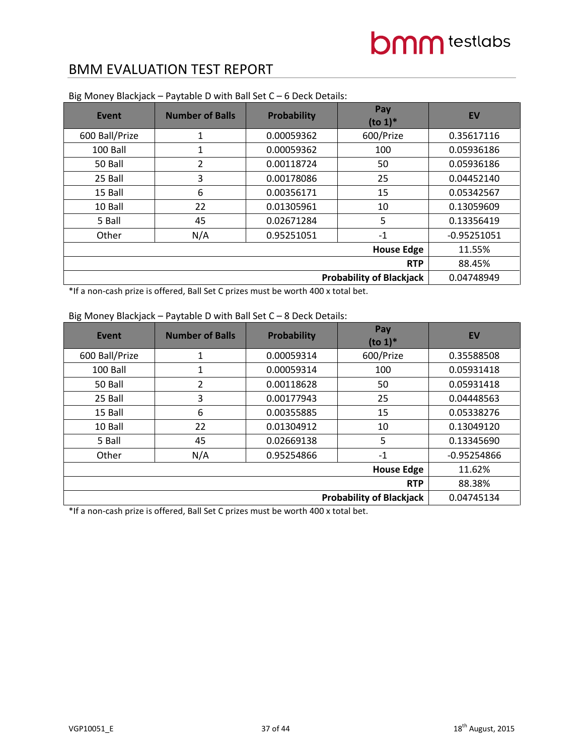| <b>Event</b>                    | <b>Number of Balls</b> | <b>Probability</b> | Pay<br>$(to 1)*$ | <b>EV</b>     |
|---------------------------------|------------------------|--------------------|------------------|---------------|
| 600 Ball/Prize                  | $\mathbf{1}$           | 0.00059362         | 600/Prize        | 0.35617116    |
| 100 Ball                        | 1                      | 0.00059362         | 100              | 0.05936186    |
| 50 Ball                         | 2                      | 0.00118724         | 50               | 0.05936186    |
| 25 Ball                         | 3                      | 0.00178086         | 25               | 0.04452140    |
| 15 Ball                         | 6                      | 0.00356171         | 15               | 0.05342567    |
| 10 Ball                         | 22                     | 0.01305961         | 10               | 0.13059609    |
| 5 Ball                          | 45                     | 0.02671284         | 5                | 0.13356419    |
| Other                           | N/A                    | 0.95251051         | $-1$             | $-0.95251051$ |
|                                 | 11.55%                 |                    |                  |               |
|                                 | 88.45%                 |                    |                  |               |
| <b>Probability of Blackjack</b> |                        |                    |                  | 0.04748949    |

Big Money Blackjack – Paytable D with Ball Set C – 6 Deck Details:

\*If a non-cash prize is offered, Ball Set C prizes must be worth 400 x total bet.

### Big Money Blackjack – Paytable D with Ball Set C – 8 Deck Details:

| Event          | <b>Number of Balls</b>          | Probability | Pay<br>$(to 1)*$ | <b>EV</b>     |  |
|----------------|---------------------------------|-------------|------------------|---------------|--|
| 600 Ball/Prize | 1                               | 0.00059314  | 600/Prize        | 0.35588508    |  |
| 100 Ball       | 1                               | 0.00059314  | 100              | 0.05931418    |  |
| 50 Ball        | 2                               | 0.00118628  | 50               | 0.05931418    |  |
| 25 Ball        | 3                               | 0.00177943  | 25               | 0.04448563    |  |
| 15 Ball        | 6                               | 0.00355885  | 15               | 0.05338276    |  |
| 10 Ball        | 22                              | 0.01304912  | 10               | 0.13049120    |  |
| 5 Ball         | 45                              | 0.02669138  | 5                | 0.13345690    |  |
| Other          | N/A                             | 0.95254866  | $-1$             | $-0.95254866$ |  |
|                | 11.62%                          |             |                  |               |  |
|                | 88.38%                          |             |                  |               |  |
|                | <b>Probability of Blackjack</b> |             |                  |               |  |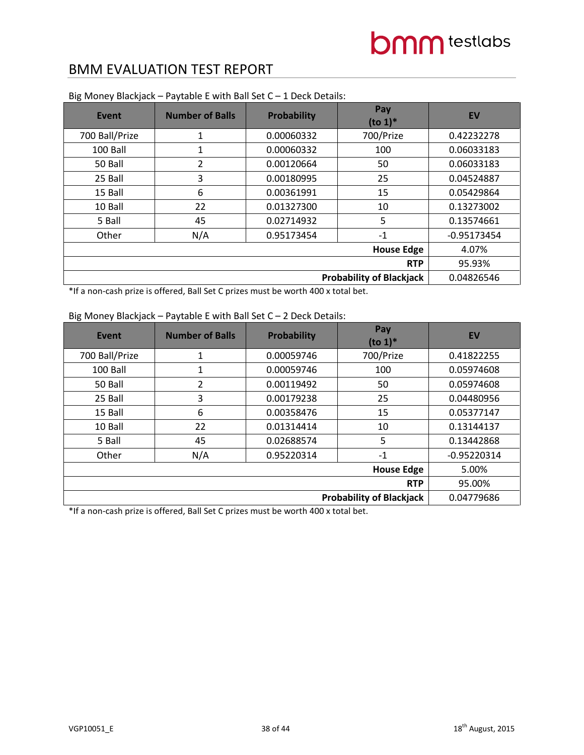| <b>Event</b>   | <b>Number of Balls</b> | <b>Probability</b> | Pay<br>$(to 1)*$                | <b>EV</b>     |
|----------------|------------------------|--------------------|---------------------------------|---------------|
| 700 Ball/Prize | 1                      | 0.00060332         | 700/Prize                       | 0.42232278    |
| 100 Ball       | 1                      | 0.00060332         | 100                             | 0.06033183    |
| 50 Ball        | 2                      | 0.00120664         | 50                              | 0.06033183    |
| 25 Ball        | 3                      | 0.00180995         | 25                              | 0.04524887    |
| 15 Ball        | 6                      | 0.00361991         | 15                              | 0.05429864    |
| 10 Ball        | 22                     | 0.01327300         | 10                              | 0.13273002    |
| 5 Ball         | 45                     | 0.02714932         | 5                               | 0.13574661    |
| Other          | N/A                    | 0.95173454         | $-1$                            | $-0.95173454$ |
|                |                        |                    | <b>House Edge</b>               | 4.07%         |
|                |                        |                    | <b>RTP</b>                      | 95.93%        |
|                |                        |                    | <b>Probability of Blackjack</b> | 0.04826546    |

Big Money Blackjack – Paytable E with Ball Set C – 1 Deck Details:

\*If a non-cash prize is offered, Ball Set C prizes must be worth 400 x total bet.

### Big Money Blackjack – Paytable E with Ball Set C – 2 Deck Details:

| Event          | <b>Number of Balls</b> | Probability | Pay<br>$(to 1)*$                | <b>EV</b>     |
|----------------|------------------------|-------------|---------------------------------|---------------|
| 700 Ball/Prize | 1                      | 0.00059746  | 700/Prize                       | 0.41822255    |
| 100 Ball       | 1                      | 0.00059746  | 100                             | 0.05974608    |
| 50 Ball        | 2                      | 0.00119492  | 50                              | 0.05974608    |
| 25 Ball        | 3                      | 0.00179238  | 25                              | 0.04480956    |
| 15 Ball        | 6                      | 0.00358476  | 15                              | 0.05377147    |
| 10 Ball        | 22                     | 0.01314414  | 10                              | 0.13144137    |
| 5 Ball         | 45                     | 0.02688574  | 5                               | 0.13442868    |
| Other          | N/A                    | 0.95220314  | $-1$                            | $-0.95220314$ |
|                |                        |             | <b>House Edge</b>               | 5.00%         |
|                |                        |             | <b>RTP</b>                      | 95.00%        |
|                |                        |             | <b>Probability of Blackjack</b> | 0.04779686    |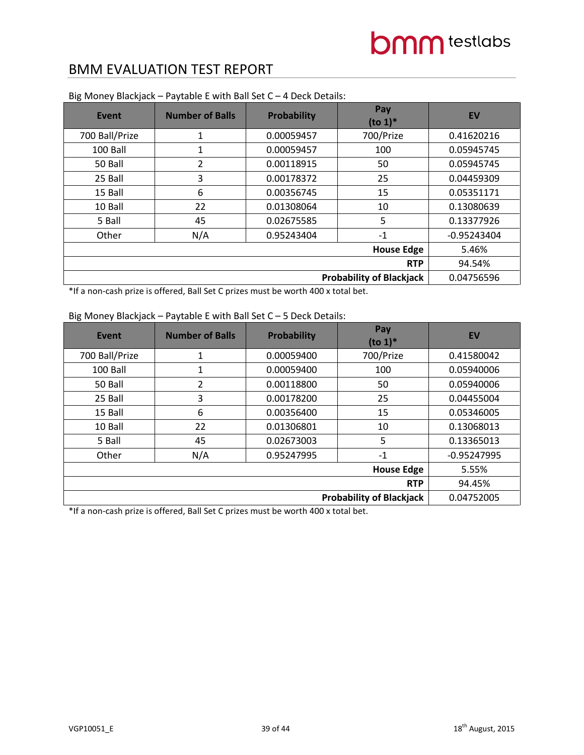| Event          | <b>Number of Balls</b> | Probability | Pay<br>$(to 1)*$                | <b>EV</b>     |
|----------------|------------------------|-------------|---------------------------------|---------------|
| 700 Ball/Prize | 1                      | 0.00059457  | 700/Prize                       | 0.41620216    |
| 100 Ball       | 1                      | 0.00059457  | 100                             | 0.05945745    |
| 50 Ball        | 2                      | 0.00118915  | 50                              | 0.05945745    |
| 25 Ball        | 3                      | 0.00178372  | 25                              | 0.04459309    |
| 15 Ball        | 6                      | 0.00356745  | 15                              | 0.05351171    |
| 10 Ball        | 22                     | 0.01308064  | 10                              | 0.13080639    |
| 5 Ball         | 45                     | 0.02675585  | 5                               | 0.13377926    |
| Other          | N/A                    | 0.95243404  | $-1$                            | $-0.95243404$ |
|                |                        |             | <b>House Edge</b>               | 5.46%         |
|                |                        |             | <b>RTP</b>                      | 94.54%        |
|                |                        |             | <b>Probability of Blackjack</b> | 0.04756596    |

Big Money Blackjack – Paytable E with Ball Set C – 4 Deck Details:

\*If a non-cash prize is offered, Ball Set C prizes must be worth 400 x total bet.

### Big Money Blackjack – Paytable E with Ball Set C – 5 Deck Details:

| Event          | <b>Number of Balls</b> | Probability | Pay<br>$(to 1)*$                | <b>EV</b>     |
|----------------|------------------------|-------------|---------------------------------|---------------|
| 700 Ball/Prize | 1                      | 0.00059400  | 700/Prize                       | 0.41580042    |
| 100 Ball       | 1                      | 0.00059400  | 100                             | 0.05940006    |
| 50 Ball        | 2                      | 0.00118800  | 50                              | 0.05940006    |
| 25 Ball        | 3                      | 0.00178200  | 25                              | 0.04455004    |
| 15 Ball        | 6                      | 0.00356400  | 15                              | 0.05346005    |
| 10 Ball        | 22                     | 0.01306801  | 10                              | 0.13068013    |
| 5 Ball         | 45                     | 0.02673003  | 5                               | 0.13365013    |
| Other          | N/A                    | 0.95247995  | $-1$                            | $-0.95247995$ |
|                |                        |             | <b>House Edge</b>               | 5.55%         |
|                |                        |             | <b>RTP</b>                      | 94.45%        |
|                |                        |             | <b>Probability of Blackjack</b> | 0.04752005    |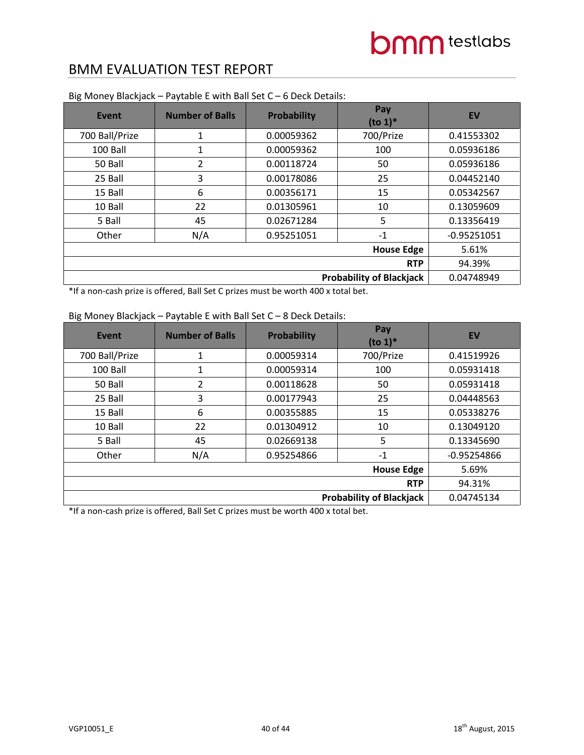| Event          | <b>Number of Balls</b> | Probability | Pay<br>$(to 1)*$                | <b>EV</b>     |
|----------------|------------------------|-------------|---------------------------------|---------------|
| 700 Ball/Prize | 1                      | 0.00059362  | 700/Prize                       | 0.41553302    |
| 100 Ball       | 1                      | 0.00059362  | 100                             | 0.05936186    |
| 50 Ball        | 2                      | 0.00118724  | 50                              | 0.05936186    |
| 25 Ball        | 3                      | 0.00178086  | 25                              | 0.04452140    |
| 15 Ball        | 6                      | 0.00356171  | 15                              | 0.05342567    |
| 10 Ball        | 22                     | 0.01305961  | 10                              | 0.13059609    |
| 5 Ball         | 45                     | 0.02671284  | 5                               | 0.13356419    |
| Other          | N/A                    | 0.95251051  | $-1$                            | $-0.95251051$ |
|                |                        |             | <b>House Edge</b>               | 5.61%         |
|                |                        |             | <b>RTP</b>                      | 94.39%        |
|                |                        |             | <b>Probability of Blackjack</b> | 0.04748949    |

Big Money Blackjack – Paytable E with Ball Set C – 6 Deck Details:

\*If a non-cash prize is offered, Ball Set C prizes must be worth 400 x total bet.

### Big Money Blackjack – Paytable E with Ball Set C – 8 Deck Details:

| <b>Event</b>   | <b>Number of Balls</b> | <b>Probability</b> | Pay<br>$($ to 1 $)$ <sup>*</sup> | EV            |
|----------------|------------------------|--------------------|----------------------------------|---------------|
| 700 Ball/Prize | 1                      | 0.00059314         | 700/Prize                        | 0.41519926    |
| 100 Ball       | 1                      | 0.00059314         | 100                              | 0.05931418    |
| 50 Ball        | 2                      | 0.00118628         | 50                               | 0.05931418    |
| 25 Ball        | 3                      | 0.00177943         | 25                               | 0.04448563    |
| 15 Ball        | 6                      | 0.00355885         | 15                               | 0.05338276    |
| 10 Ball        | 22                     | 0.01304912         | 10                               | 0.13049120    |
| 5 Ball         | 45                     | 0.02669138         | 5                                | 0.13345690    |
| Other          | N/A                    | 0.95254866         | $-1$                             | $-0.95254866$ |
|                |                        |                    | <b>House Edge</b>                | 5.69%         |
|                |                        |                    | <b>RTP</b>                       | 94.31%        |
|                |                        |                    | <b>Probability of Blackjack</b>  | 0.04745134    |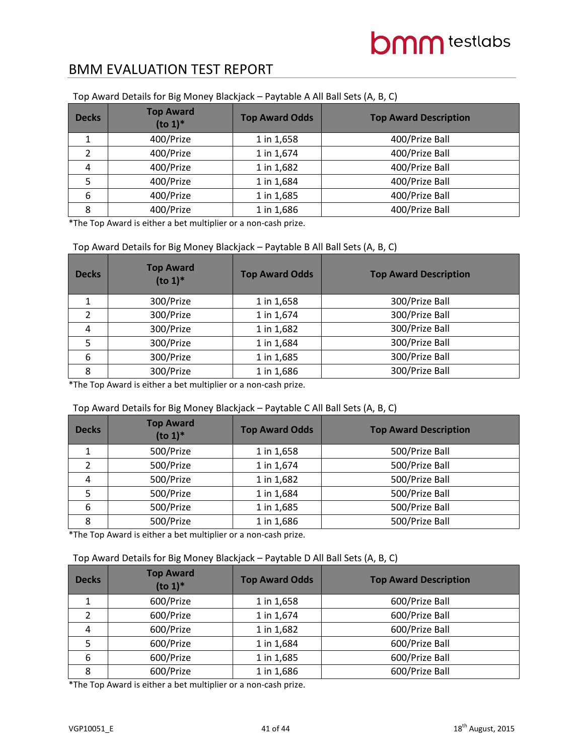| <b>Decks</b> | <b>Top Award</b><br>$(to 1)*$ | <b>Top Award Odds</b> | <b>Top Award Description</b> |
|--------------|-------------------------------|-----------------------|------------------------------|
|              | 400/Prize                     | 1 in 1,658            | 400/Prize Ball               |
|              | 400/Prize                     | 1 in 1,674            | 400/Prize Ball               |
| 4            | 400/Prize                     | 1 in 1,682            | 400/Prize Ball               |
| 5            | 400/Prize                     | 1 in 1,684            | 400/Prize Ball               |
| 6            | 400/Prize                     | 1 in 1,685            | 400/Prize Ball               |
| 8            | 400/Prize                     | 1 in 1,686            | 400/Prize Ball               |

#### Top Award Details for Big Money Blackjack – Paytable A All Ball Sets (A, B, C)

\*The Top Award is either a bet multiplier or a non-cash prize.

#### Top Award Details for Big Money Blackjack – Paytable B All Ball Sets (A, B, C)

| <b>Decks</b> | <b>Top Award</b><br>$($ to 1 $)$ <sup>*</sup> | <b>Top Award Odds</b> | <b>Top Award Description</b> |
|--------------|-----------------------------------------------|-----------------------|------------------------------|
|              | 300/Prize                                     | 1 in 1,658            | 300/Prize Ball               |
| 2            | 300/Prize                                     | 1 in 1,674            | 300/Prize Ball               |
| 4            | 300/Prize                                     | 1 in 1,682            | 300/Prize Ball               |
| 5            | 300/Prize                                     | 1 in 1,684            | 300/Prize Ball               |
| 6            | 300/Prize                                     | 1 in 1,685            | 300/Prize Ball               |
| 8            | 300/Prize                                     | 1 in 1,686            | 300/Prize Ball               |

\*The Top Award is either a bet multiplier or a non-cash prize.

#### Top Award Details for Big Money Blackjack – Paytable C All Ball Sets (A, B, C)

| <b>Decks</b> | <b>Top Award</b><br>$(to 1)*$ | <b>Top Award Odds</b> | <b>Top Award Description</b> |
|--------------|-------------------------------|-----------------------|------------------------------|
|              | 500/Prize                     | 1 in 1,658            | 500/Prize Ball               |
|              | 500/Prize                     | 1 in 1,674            | 500/Prize Ball               |
| 4            | 500/Prize                     | 1 in 1,682            | 500/Prize Ball               |
| 5            | 500/Prize                     | 1 in 1,684            | 500/Prize Ball               |
| 6            | 500/Prize                     | 1 in 1,685            | 500/Prize Ball               |
| 8            | 500/Prize                     | 1 in 1,686            | 500/Prize Ball               |

\*The Top Award is either a bet multiplier or a non-cash prize.

#### Top Award Details for Big Money Blackjack – Paytable D All Ball Sets (A, B, C)

| <b>Decks</b> | <b>Top Award</b><br>$(to 1)*$ | <b>Top Award Odds</b> | <b>Top Award Description</b> |
|--------------|-------------------------------|-----------------------|------------------------------|
|              | 600/Prize                     | 1 in 1,658            | 600/Prize Ball               |
|              | 600/Prize                     | 1 in 1,674            | 600/Prize Ball               |
| 4            | 600/Prize                     | 1 in 1,682            | 600/Prize Ball               |
| 5            | 600/Prize                     | 1 in 1,684            | 600/Prize Ball               |
| 6            | 600/Prize                     | 1 in 1,685            | 600/Prize Ball               |
| 8            | 600/Prize                     | 1 in 1,686            | 600/Prize Ball               |

\*The Top Award is either a bet multiplier or a non-cash prize.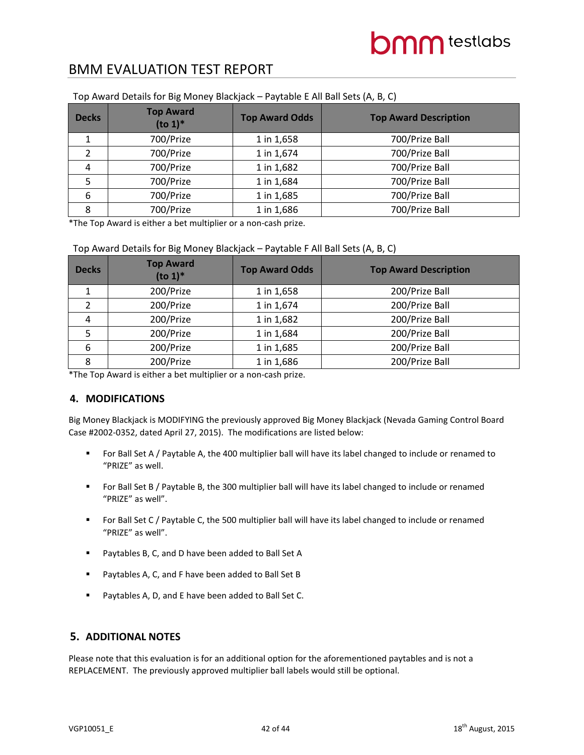| <b>Decks</b> | <b>Top Award</b><br>$(to 1)*$ | <b>Top Award Odds</b> | <b>Top Award Description</b> |
|--------------|-------------------------------|-----------------------|------------------------------|
| 1            | 700/Prize                     | 1 in 1,658            | 700/Prize Ball               |
|              | 700/Prize                     | 1 in 1,674            | 700/Prize Ball               |
| 4            | 700/Prize                     | 1 in 1,682            | 700/Prize Ball               |
| 5            | 700/Prize                     | 1 in 1,684            | 700/Prize Ball               |
| 6            | 700/Prize                     | 1 in 1,685            | 700/Prize Ball               |
| 8            | 700/Prize                     | 1 in 1,686            | 700/Prize Ball               |

#### Top Award Details for Big Money Blackjack – Paytable E All Ball Sets (A, B, C)

\*The Top Award is either a bet multiplier or a non-cash prize.

| <b>Decks</b> | <b>Top Award</b><br>$($ to 1 $)$ <sup>*</sup> | <b>Top Award Odds</b> | <b>Top Award Description</b> |
|--------------|-----------------------------------------------|-----------------------|------------------------------|
| ┻            | 200/Prize                                     | 1 in 1,658            | 200/Prize Ball               |
|              | 200/Prize                                     | 1 in 1,674            | 200/Prize Ball               |
| 4            | 200/Prize                                     | 1 in 1,682            | 200/Prize Ball               |
| 5            | 200/Prize                                     | 1 in 1,684            | 200/Prize Ball               |
| 6            | 200/Prize                                     | 1 in 1,685            | 200/Prize Ball               |
| 8            | 200/Prize                                     | 1 in 1,686            | 200/Prize Ball               |

\*The Top Award is either a bet multiplier or a non-cash prize.

#### **4. MODIFICATIONS**

Big Money Blackjack is MODIFYING the previously approved Big Money Blackjack (Nevada Gaming Control Board Case #2002-0352, dated April 27, 2015). The modifications are listed below:

- For Ball Set A / Paytable A, the 400 multiplier ball will have its label changed to include or renamed to "PRIZE" as well.
- For Ball Set B / Paytable B, the 300 multiplier ball will have its label changed to include or renamed "PRIZE" as well".
- For Ball Set C / Paytable C, the 500 multiplier ball will have its label changed to include or renamed "PRIZE" as well".
- **Paytables B, C, and D have been added to Ball Set A**
- Paytables A, C, and F have been added to Ball Set B
- Paytables A, D, and E have been added to Ball Set C.

#### **5. ADDITIONAL NOTES**

Please note that this evaluation is for an additional option for the aforementioned paytables and is not a REPLACEMENT. The previously approved multiplier ball labels would still be optional.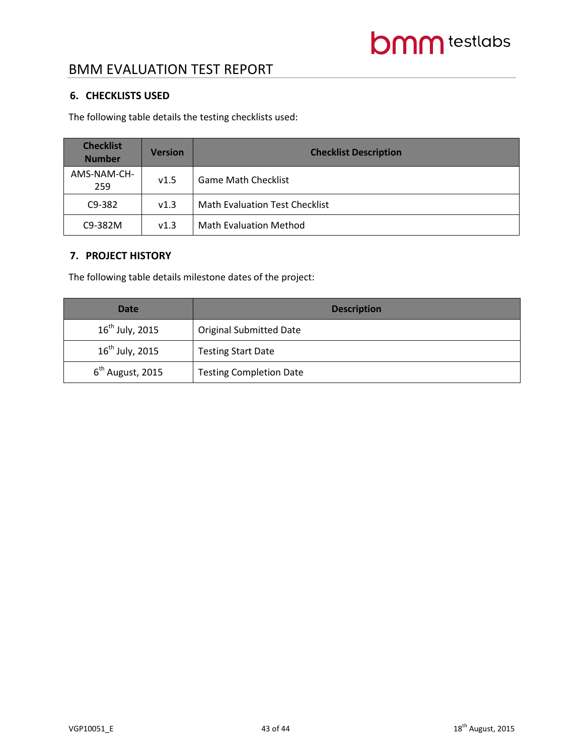### **6. CHECKLISTS USED**

The following table details the testing checklists used:

| <b>Checklist</b><br><b>Number</b> | <b>Version</b> | <b>Checklist Description</b>          |
|-----------------------------------|----------------|---------------------------------------|
| AMS-NAM-CH-<br>259                | v1.5           | <b>Game Math Checklist</b>            |
| C9-382                            | v1.3           | <b>Math Evaluation Test Checklist</b> |
| C9-382M                           | v1.3           | <b>Math Evaluation Method</b>         |

#### **7. PROJECT HISTORY**

The following table details milestone dates of the project:

| <b>Date</b>                  | <b>Description</b>             |
|------------------------------|--------------------------------|
| $16^{th}$ July, 2015         | <b>Original Submitted Date</b> |
| $16^{th}$ July, 2015         | <b>Testing Start Date</b>      |
| 6 <sup>th</sup> August, 2015 | <b>Testing Completion Date</b> |